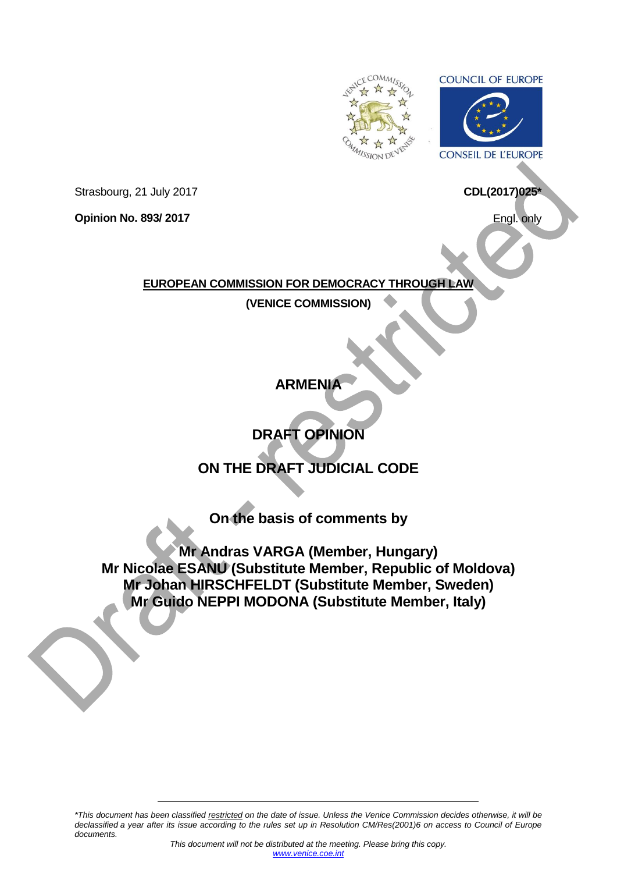

**COUNCIL OF EUROPE** 



Strasbourg, 21 July 2017

**Opinion No. 893/ 2017**

Engl. only

**CDL(2017)025\***

**EUROPEAN COMMISSION FOR DEMOCRACY THROUGH LAW**

**(VENICE COMMISSION)**

**ARMENIA**

**DRAFT OPINION** 

# **ON THE DRAFT JUDICIAL CODE**

**On the basis of comments by**

**Mr Andras VARGA (Member, Hungary) Mr Nicolae ESANU (Substitute Member, Republic of Moldova) Mr Johan HIRSCHFELDT (Substitute Member, Sweden) Mr Guido NEPPI MODONA (Substitute Member, Italy)**

*\*This document has been classified restricted on the date of issue. Unless the Venice Commission decides otherwise, it will be declassified a year after its issue according to the rules set up in Resolution CM/Res(2001)6 on access to Council of Europe documents.*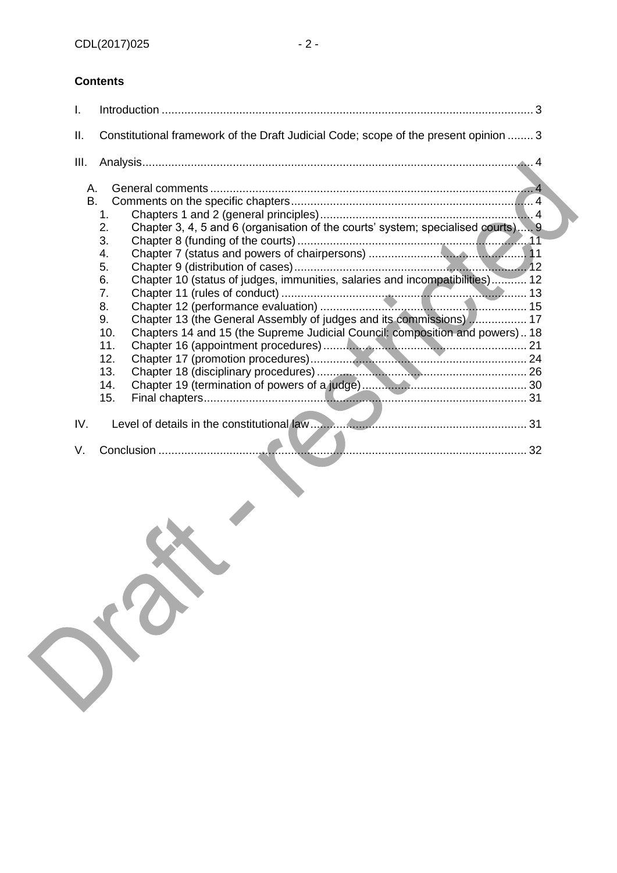## **Contents**

| I.              |                                                                                              | 3                                                                                                                                                                                                                                                                                                                      |  |
|-----------------|----------------------------------------------------------------------------------------------|------------------------------------------------------------------------------------------------------------------------------------------------------------------------------------------------------------------------------------------------------------------------------------------------------------------------|--|
| II.             |                                                                                              | Constitutional framework of the Draft Judicial Code; scope of the present opinion  3                                                                                                                                                                                                                                   |  |
| III.            |                                                                                              |                                                                                                                                                                                                                                                                                                                        |  |
| Α.<br><b>B.</b> | 1.<br>2.<br>3.<br>4.<br>5.<br>6.<br>7.<br>8.<br>9.<br>10.<br>11.<br>12.<br>13.<br>14.<br>15. | Chapter 3, 4, 5 and 6 (organisation of the courts' system; specialised courts) 9<br>Chapter 10 (status of judges, immunities, salaries and incompatibilities) 12<br>Chapter 13 (the General Assembly of judges and its commissions) 17<br>Chapters 14 and 15 (the Supreme Judicial Council: composition and powers) 18 |  |
| IV.             |                                                                                              |                                                                                                                                                                                                                                                                                                                        |  |
| V.              |                                                                                              |                                                                                                                                                                                                                                                                                                                        |  |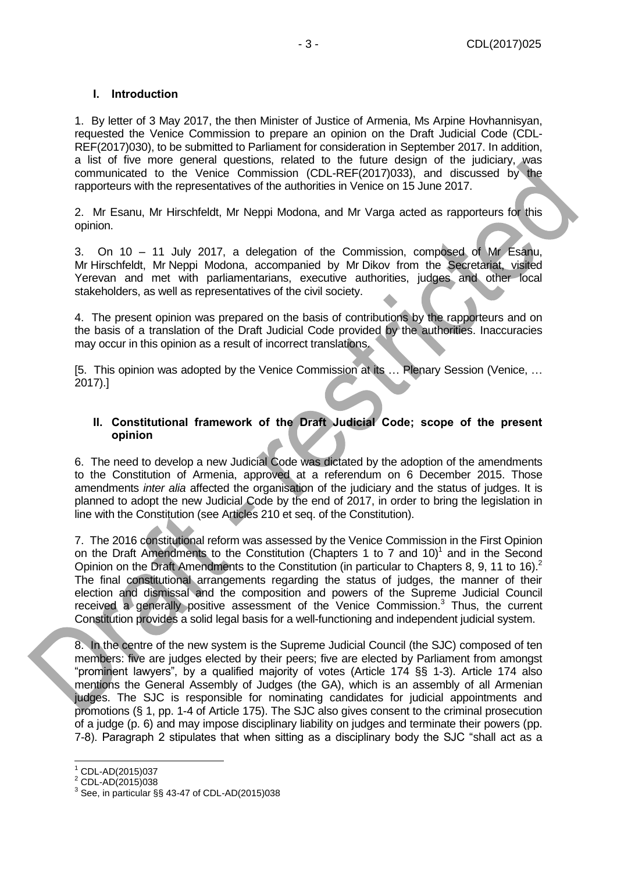#### <span id="page-2-0"></span>**I. Introduction**

1. By letter of 3 May 2017, the then Minister of Justice of Armenia, Ms Arpine Hovhannisyan, requested the Venice Commission to prepare an opinion on the Draft Judicial Code (CDL-REF(2017)030), to be submitted to Parliament for consideration in September 2017. In addition, a list of five more general questions, related to the future design of the judiciary, was communicated to the Venice Commission (CDL-REF(2017)033), and discussed by the rapporteurs with the representatives of the authorities in Venice on 15 June 2017.

2. Mr Esanu, Mr Hirschfeldt, Mr Neppi Modona, and Mr Varga acted as rapporteurs for this opinion.

3. On 10 – 11 July 2017, a delegation of the Commission, composed of Mr Esanu, Mr Hirschfeldt, Mr Neppi Modona, accompanied by Mr Dikov from the Secretariat, visited Yerevan and met with parliamentarians, executive authorities, judges and other local stakeholders, as well as representatives of the civil society.

4. The present opinion was prepared on the basis of contributions by the rapporteurs and on the basis of a translation of the Draft Judicial Code provided by the authorities. Inaccuracies may occur in this opinion as a result of incorrect translations.

[5. This opinion was adopted by the Venice Commission at its … Plenary Session (Venice, … 2017).]

#### <span id="page-2-1"></span>**II. Constitutional framework of the Draft Judicial Code; scope of the present opinion**

6. The need to develop a new Judicial Code was dictated by the adoption of the amendments to the Constitution of Armenia, approved at a referendum on 6 December 2015. Those amendments *inter alia* affected the organisation of the judiciary and the status of judges. It is planned to adopt the new Judicial Code by the end of 2017, in order to bring the legislation in line with the Constitution (see Articles 210 et seq. of the Constitution).

7. The 2016 constitutional reform was assessed by the Venice Commission in the First Opinion on the Draft Amendments to the Constitution (Chapters 1 to 7 and 10)<sup>1</sup> and in the Second Opinion on the Draft Amendments to the Constitution (in particular to Chapters 8, 9, 11 to 16).<sup>2</sup> The final constitutional arrangements regarding the status of judges, the manner of their election and dismissal and the composition and powers of the Supreme Judicial Council received a generally positive assessment of the Venice Commission.<sup>3</sup> Thus, the current Constitution provides a solid legal basis for a well-functioning and independent judicial system.

8. In the centre of the new system is the Supreme Judicial Council (the SJC) composed of ten members: five are judges elected by their peers; five are elected by Parliament from amongst "prominent lawyers", by a qualified majority of votes (Article 174 §§ 1-3). Article 174 also mentions the General Assembly of Judges (the GA), which is an assembly of all Armenian judges. The SJC is responsible for nominating candidates for judicial appointments and promotions (§ 1, pp. 1-4 of Article 175). The SJC also gives consent to the criminal prosecution of a judge (p. 6) and may impose disciplinary liability on judges and terminate their powers (pp. 7-8). Paragraph 2 stipulates that when sitting as a disciplinary body the SJC "shall act as a

 $1$  CDL-AD(2015)037

 $\frac{2}{3}$  CDL-AD(2015)038

See, in particular §§ 43-47 of CDL-AD(2015)038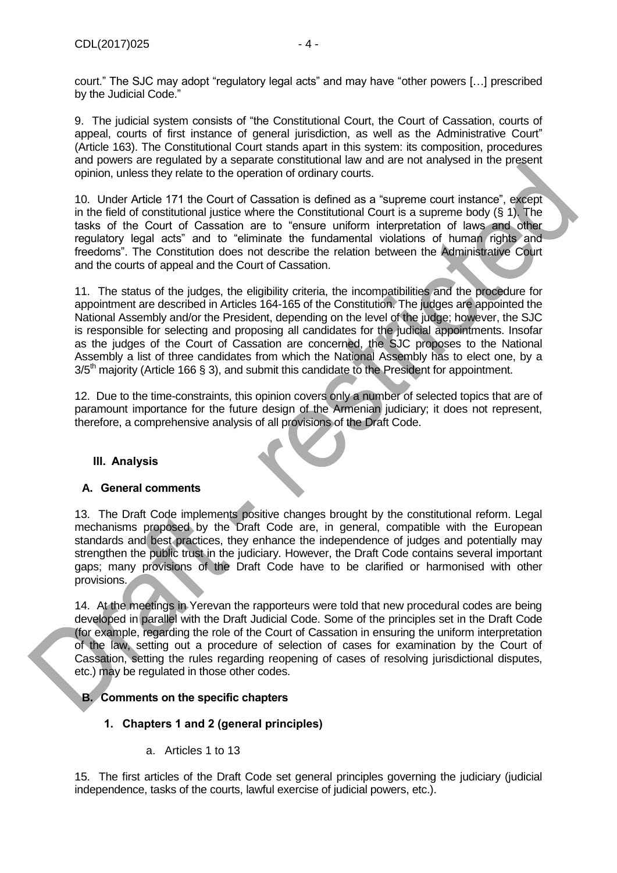court." The SJC may adopt "regulatory legal acts" and may have "other powers […] prescribed by the Judicial Code."

9. The judicial system consists of "the Constitutional Court, the Court of Cassation, courts of appeal, courts of first instance of general jurisdiction, as well as the Administrative Court" (Article 163). The Constitutional Court stands apart in this system: its composition, procedures and powers are regulated by a separate constitutional law and are not analysed in the present opinion, unless they relate to the operation of ordinary courts.

10. Under Article 171 the Court of Cassation is defined as a "supreme court instance", except in the field of constitutional iustice where the Constitutional Court is a supreme body  $(\S 1)$ . The tasks of the Court of Cassation are to "ensure uniform interpretation of laws and other regulatory legal acts" and to "eliminate the fundamental violations of human rights and freedoms". The Constitution does not describe the relation between the Administrative Court and the courts of appeal and the Court of Cassation.

11. The status of the judges, the eligibility criteria, the incompatibilities and the procedure for appointment are described in Articles 164-165 of the Constitution. The judges are appointed the National Assembly and/or the President, depending on the level of the judge; however, the SJC is responsible for selecting and proposing all candidates for the judicial appointments. Insofar as the judges of the Court of Cassation are concerned, the SJC proposes to the National Assembly a list of three candidates from which the National Assembly has to elect one, by a  $3/5<sup>th</sup>$  majority (Article 166 § 3), and submit this candidate to the President for appointment.

12. Due to the time-constraints, this opinion covers only a number of selected topics that are of paramount importance for the future design of the Armenian judiciary; it does not represent, therefore, a comprehensive analysis of all provisions of the Draft Code.

## <span id="page-3-0"></span>**III. Analysis**

#### <span id="page-3-1"></span>**A. General comments**

13. The Draft Code implements positive changes brought by the constitutional reform. Legal mechanisms proposed by the Draft Code are, in general, compatible with the European standards and best practices, they enhance the independence of judges and potentially may strengthen the public trust in the judiciary. However, the Draft Code contains several important gaps; many provisions of the Draft Code have to be clarified or harmonised with other provisions.

14. At the meetings in Yerevan the rapporteurs were told that new procedural codes are being developed in parallel with the Draft Judicial Code. Some of the principles set in the Draft Code (for example, regarding the role of the Court of Cassation in ensuring the uniform interpretation of the law, setting out a procedure of selection of cases for examination by the Court of Cassation, setting the rules regarding reopening of cases of resolving jurisdictional disputes, etc.) may be regulated in those other codes.

## <span id="page-3-3"></span><span id="page-3-2"></span>**B. Comments on the specific chapters**

## **1. Chapters 1 and 2 (general principles)**

a. Articles 1 to 13

15. The first articles of the Draft Code set general principles governing the judiciary (judicial independence, tasks of the courts, lawful exercise of judicial powers, etc.).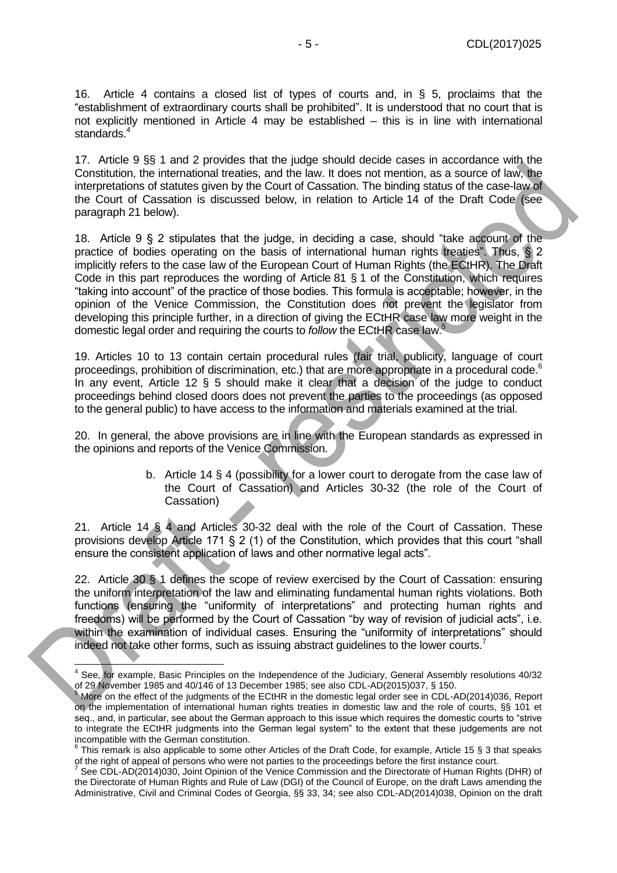16. Article 4 contains a closed list of types of courts and, in § 5, proclaims that the "establishment of extraordinary courts shall be prohibited". It is understood that no court that is not explicitly mentioned in Article 4 may be established – this is in line with international standards.<sup>4</sup>

17. Article 9 §§ 1 and 2 provides that the judge should decide cases in accordance with the Constitution, the international treaties, and the law. It does not mention, as a source of law, the interpretations of statutes given by the Court of Cassation. The binding status of the case-law of the Court of Cassation is discussed below, in relation to Article 14 of the Draft Code (see paragrap[h 21](#page-4-0) below).

18. Article 9 § 2 stipulates that the judge, in deciding a case, should "take account of the practice of bodies operating on the basis of international human rights treaties". Thus, § 2 implicitly refers to the case law of the European Court of Human Rights (the ECtHR). The Draft Code in this part reproduces the wording of Article 81 § 1 of the Constitution, which requires "taking into account" of the practice of those bodies. This formula is acceptable; however, in the opinion of the Venice Commission, the Constitution does not prevent the legislator from developing this principle further, in a direction of giving the ECtHR case law more weight in the domestic legal order and requiring the courts to *follow* the ECtHR case law.<sup>5</sup>

19. Articles 10 to 13 contain certain procedural rules (fair trial, publicity, language of court proceedings, prohibition of discrimination, etc.) that are more appropriate in a procedural code.<sup>6</sup> In any event, Article 12 § 5 should make it clear that a decision of the judge to conduct proceedings behind closed doors does not prevent the parties to the proceedings (as opposed to the general public) to have access to the information and materials examined at the trial.

20. In general, the above provisions are in line with the European standards as expressed in the opinions and reports of the Venice Commission.

> b. Article 14 § 4 (possibility for a lower court to derogate from the case law of the Court of Cassation) and Articles 30-32 (the role of the Court of Cassation)

<span id="page-4-0"></span>21. Article 14 § 4 and Articles 30-32 deal with the role of the Court of Cassation. These provisions develop Article 171 § 2 (1) of the Constitution, which provides that this court "shall ensure the consistent application of laws and other normative legal acts".

22. Article 30 § 1 defines the scope of review exercised by the Court of Cassation: ensuring the uniform interpretation of the law and eliminating fundamental human rights violations. Both functions (ensuring the "uniformity of interpretations" and protecting human rights and freedoms) will be performed by the Court of Cassation "by way of revision of judicial acts", i.e. within the examination of individual cases. Ensuring the "uniformity of interpretations" should indeed not take other forms, such as issuing abstract guidelines to the lower courts.<sup>7</sup>

**ACCOLOGITM**<br>A See, for example, Basic Principles on the Independence of the Judiciary, General Assembly resolutions 40/32 of 29 November 1985 and 40/146 of 13 December 1985; see also CDL-AD(2015)037, § 150.

<sup>&</sup>lt;sup>5</sup> More on the effect of the judgments of the ECtHR in the domestic legal order see in CDL-AD(2014)036, Report on the implementation of international human rights treaties in domestic law and the role of courts, §§ 101 et seq., and, in particular, see about the German approach to this issue which requires the domestic courts to "strive to integrate the ECtHR judgments into the German legal system" to the extent that these judgements are not

incompatible with the German constitution.<br><sup>6</sup> This remark is also applicable to some other Articles of the Draft Code, for example, Article 15 § 3 that speaks of the right of appeal of persons who were not parties to the proceedings before the first instance court.<br><sup>7</sup> See CDL AD(2014)020, leint Oninian of the Vanice Commission and the Directorate of Human Dights

See CDL-AD(2014)030, Joint Opinion of the Venice Commission and the Directorate of Human Rights (DHR) of the Directorate of Human Rights and Rule of Law (DGI) of the Council of Europe, on the draft Laws amending the Administrative, Civil and Criminal Codes of Georgia, §§ 33, 34; see also CDL-AD(2014)038, Opinion on the draft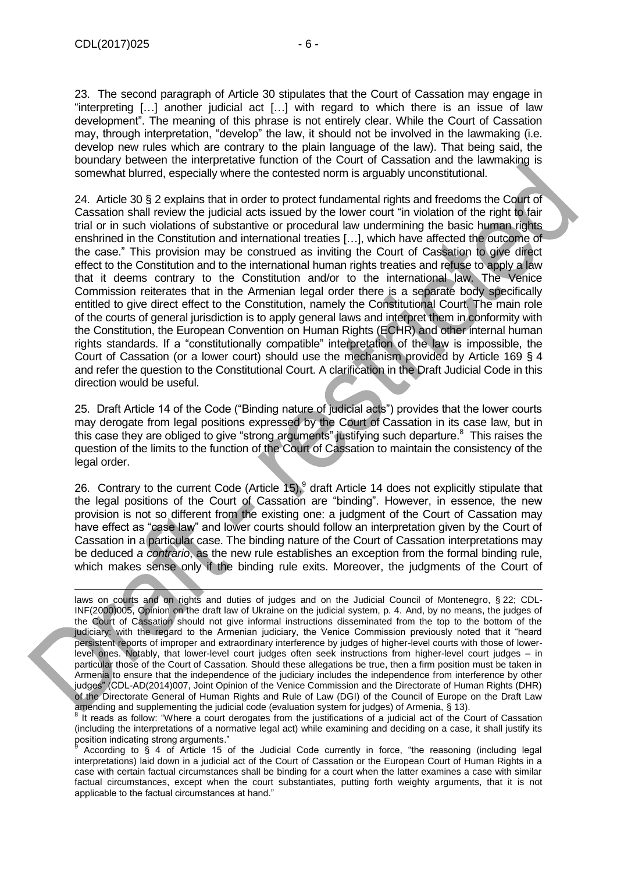23. The second paragraph of Article 30 stipulates that the Court of Cassation may engage in "interpreting […] another judicial act […] with regard to which there is an issue of law development". The meaning of this phrase is not entirely clear. While the Court of Cassation may, through interpretation, "develop" the law, it should not be involved in the lawmaking (i.e. develop new rules which are contrary to the plain language of the law). That being said, the boundary between the interpretative function of the Court of Cassation and the lawmaking is somewhat blurred, especially where the contested norm is arguably unconstitutional.

24. Article 30 § 2 explains that in order to protect fundamental rights and freedoms the Court of Cassation shall review the judicial acts issued by the lower court "in violation of the right to fair trial or in such violations of substantive or procedural law undermining the basic human rights enshrined in the Constitution and international treaties […], which have affected the outcome of the case." This provision may be construed as inviting the Court of Cassation to give direct effect to the Constitution and to the international human rights treaties and refuse to apply a law that it deems contrary to the Constitution and/or to the international law. The Venice Commission reiterates that in the Armenian legal order there is a separate body specifically entitled to give direct effect to the Constitution, namely the Constitutional Court. The main role of the courts of general jurisdiction is to apply general laws and interpret them in conformity with the Constitution, the European Convention on Human Rights (ECHR) and other internal human rights standards. If a "constitutionally compatible" interpretation of the law is impossible, the Court of Cassation (or a lower court) should use the mechanism provided by Article 169 § 4 and refer the question to the Constitutional Court. A clarification in the Draft Judicial Code in this direction would be useful.

25. Draft Article 14 of the Code ("Binding nature of judicial acts") provides that the lower courts may derogate from legal positions expressed by the Court of Cassation in its case law, but in this case they are obliged to give "strong arguments" justifying such departure.<sup>8</sup> This raises the question of the limits to the function of the Court of Cassation to maintain the consistency of the legal order.

26. Contrary to the current Code (Article 15),  $9$  draft Article 14 does not explicitly stipulate that the legal positions of the Court of Cassation are "binding". However, in essence, the new provision is not so different from the existing one: a judgment of the Court of Cassation may have effect as "case law" and lower courts should follow an interpretation given by the Court of Cassation in a particular case. The binding nature of the Court of Cassation interpretations may be deduced *a contrario*, as the new rule establishes an exception from the formal binding rule, which makes sense only if the binding rule exits. Moreover, the judgments of the Court of

laws on courts and on rights and duties of judges and on the Judicial Council of Montenegro, § 22; CDL-INF(2000)005, Opinion on the draft law of Ukraine on the judicial system, p. 4. And, by no means, the judges of the Court of Cassation should not give informal instructions disseminated from the top to the bottom of the judiciary: with the regard to the Armenian judiciary, the Venice Commission previously noted that it "heard persistent reports of improper and extraordinary interference by judges of higher-level courts with those of lowerlevel ones. Notably, that lower-level court judges often seek instructions from higher-level court judges – in particular those of the Court of Cassation. Should these allegations be true, then a firm position must be taken in Armenia to ensure that the independence of the judiciary includes the independence from interference by other judges" (CDL-AD(2014)007, Joint Opinion of the Venice Commission and the Directorate of Human Rights (DHR) of the Directorate General of Human Rights and Rule of Law (DGI) of the Council of Europe on the Draft Law amending and supplementing the judicial code (evaluation system for judges) of Armenia, § 13).

<sup>8</sup> It reads as follow: "Where a court derogates from the justifications of a judicial act of the Court of Cassation (including the interpretations of a normative legal act) while examining and deciding on a case, it shall justify its position indicating strong arguments."

According to § 4 of Article 15 of the Judicial Code currently in force, "the reasoning (including legal interpretations) laid down in a judicial act of the Court of Cassation or the European Court of Human Rights in a case with certain factual circumstances shall be binding for a court when the latter examines a case with similar factual circumstances, except when the court substantiates, putting forth weighty arguments, that it is not applicable to the factual circumstances at hand."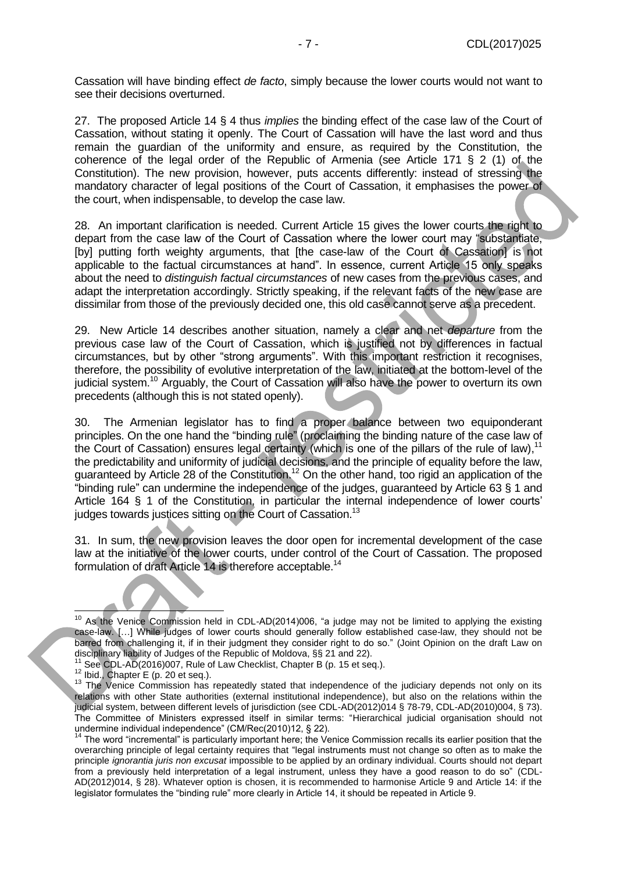Cassation will have binding effect *de facto*, simply because the lower courts would not want to see their decisions overturned.

27. The proposed Article 14 § 4 thus *implies* the binding effect of the case law of the Court of Cassation, without stating it openly. The Court of Cassation will have the last word and thus remain the guardian of the uniformity and ensure, as required by the Constitution, the coherence of the legal order of the Republic of Armenia (see Article 171 § 2 (1) of the Constitution). The new provision, however, puts accents differently: instead of stressing the mandatory character of legal positions of the Court of Cassation, it emphasises the power of the court, when indispensable, to develop the case law.

28. An important clarification is needed. Current Article 15 gives the lower courts the right to depart from the case law of the Court of Cassation where the lower court may "substantiate, [by] putting forth weighty arguments, that [the case-law of the Court of Cassation] is not applicable to the factual circumstances at hand". In essence, current Article 15 only speaks about the need to *distinguish factual circumstances* of new cases from the previous cases, and adapt the interpretation accordingly. Strictly speaking, if the relevant facts of the new case are dissimilar from those of the previously decided one, this old case cannot serve as a precedent.

29. New Article 14 describes another situation, namely a clear and net *departure* from the previous case law of the Court of Cassation, which is justified not by differences in factual circumstances, but by other "strong arguments". With this important restriction it recognises, therefore, the possibility of evolutive interpretation of the law, initiated at the bottom-level of the judicial system.<sup>10</sup> Arguably, the Court of Cassation will also have the power to overturn its own precedents (although this is not stated openly).

30. The Armenian legislator has to find a proper balance between two equiponderant principles. On the one hand the "binding rule" (proclaiming the binding nature of the case law of the Court of Cassation) ensures legal certainty (which is one of the pillars of the rule of law),<sup>11</sup> the predictability and uniformity of judicial decisions, and the principle of equality before the law, guaranteed by Article 28 of the Constitution.<sup>12</sup> On the other hand, too rigid an application of the "binding rule" can undermine the independence of the judges, guaranteed by Article 63 § 1 and Article 164 § 1 of the Constitution, in particular the internal independence of lower courts' judges towards justices sitting on the Court of Cassation.<sup>13</sup>

31. In sum, the new provision leaves the door open for incremental development of the case law at the initiative of the lower courts, under control of the Court of Cassation. The proposed formulation of draft Article 14 is therefore acceptable.<sup>14</sup>

<sup>-</sup> $10$  As the Venice Commission held in CDL-AD(2014)006, "a judge may not be limited to applying the existing case-law. […] While judges of lower courts should generally follow established case-law, they should not be barred from challenging it, if in their judgment they consider right to do so." (Joint Opinion on the draft Law on disciplinary liability of Judges of the Republic of Moldova, §§ 21 and 22).

See CDL-AD(2016)007, Rule of Law Checklist, Chapter B (p. 15 et seq.).

<sup>&</sup>lt;sup>12</sup> Ibid., Chapter E (p. 20 et seq.).

<sup>&</sup>lt;sup>13</sup> The Venice Commission has repeatedly stated that independence of the judiciary depends not only on its relations with other State authorities (external institutional independence), but also on the relations within the judicial system, between different levels of jurisdiction (see CDL-AD(2012)014 § 78-79, CDL-AD(2010)004, § 73). The Committee of Ministers expressed itself in similar terms: "Hierarchical judicial organisation should not undermine individual independence" (CM/Rec(2010)12, § 22).

<sup>14</sup> The word "incremental" is particularly important here; the Venice Commission recalls its earlier position that the overarching principle of legal certainty requires that "legal instruments must not change so often as to make the principle *ignorantia juris non excusat* impossible to be applied by an ordinary individual. Courts should not depart from a previously held interpretation of a legal instrument, unless they have a good reason to do so" (CDL-AD(2012)014, § 28). Whatever option is chosen, it is recommended to harmonise Article 9 and Article 14: if the legislator formulates the "binding rule" more clearly in Article 14, it should be repeated in Article 9.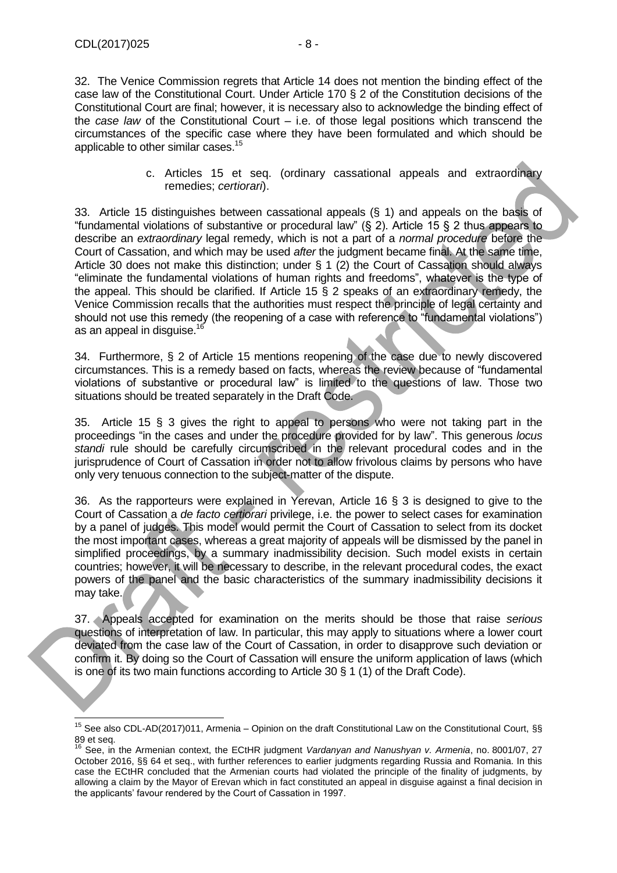$\overline{1}$ 

32. The Venice Commission regrets that Article 14 does not mention the binding effect of the case law of the Constitutional Court. Under Article 170 § 2 of the Constitution decisions of the Constitutional Court are final; however, it is necessary also to acknowledge the binding effect of the *case law* of the Constitutional Court – i.e. of those legal positions which transcend the circumstances of the specific case where they have been formulated and which should be applicable to other similar cases.<sup>15</sup>

> c. Articles 15 et seq. (ordinary cassational appeals and extraordinary remedies; *certiorari*).

33. Article 15 distinguishes between cassational appeals (§ 1) and appeals on the basis of "fundamental violations of substantive or procedural law" (§ 2). Article 15 § 2 thus appears to describe an *extraordinary* legal remedy, which is not a part of a *normal procedure* before the Court of Cassation, and which may be used *after* the judgment became final. At the same time, Article 30 does not make this distinction; under § 1 (2) the Court of Cassation should always "eliminate the fundamental violations of human rights and freedoms", whatever is the type of the appeal. This should be clarified. If Article 15 § 2 speaks of an extraordinary remedy, the Venice Commission recalls that the authorities must respect the principle of legal certainty and should not use this remedy (the reopening of a case with reference to "fundamental violations") as an appeal in disquise.<sup>16</sup>

34. Furthermore, § 2 of Article 15 mentions reopening of the case due to newly discovered circumstances. This is a remedy based on facts, whereas the review because of "fundamental violations of substantive or procedural law" is limited to the questions of law. Those two situations should be treated separately in the Draft Code.

35. Article 15 § 3 gives the right to appeal to persons who were not taking part in the proceedings "in the cases and under the procedure provided for by law". This generous *locus standi* rule should be carefully circumscribed in the relevant procedural codes and in the jurisprudence of Court of Cassation in order not to allow frivolous claims by persons who have only very tenuous connection to the subject-matter of the dispute.

36. As the rapporteurs were explained in Yerevan, Article 16 § 3 is designed to give to the Court of Cassation a *de facto certiorari* privilege, i.e. the power to select cases for examination by a panel of judges. This model would permit the Court of Cassation to select from its docket the most important cases, whereas a great majority of appeals will be dismissed by the panel in simplified proceedings, by a summary inadmissibility decision. Such model exists in certain countries; however, it will be necessary to describe, in the relevant procedural codes, the exact powers of the panel and the basic characteristics of the summary inadmissibility decisions it may take.

37. Appeals accepted for examination on the merits should be those that raise *serious* questions of interpretation of law. In particular, this may apply to situations where a lower court deviated from the case law of the Court of Cassation, in order to disapprove such deviation or confirm it. By doing so the Court of Cassation will ensure the uniform application of laws (which is one of its two main functions according to Article 30 § 1 (1) of the Draft Code).

<sup>&</sup>lt;sup>15</sup> See also CDL-AD(2017)011, Armenia – Opinion on the draft Constitutional Law on the Constitutional Court, §§ 89 et seq.

<sup>16</sup> See, in the Armenian context, the ECtHR judgment *Vardanyan and Nanushyan v. Armenia*, no. 8001/07, 27 October 2016, §§ 64 et seq., with further references to earlier judgments regarding Russia and Romania. In this case the ECtHR concluded that the Armenian courts had violated the principle of the finality of judgments, by allowing a claim by the Mayor of Erevan which in fact constituted an appeal in disguise against a final decision in the applicants' favour rendered by the Court of Cassation in 1997.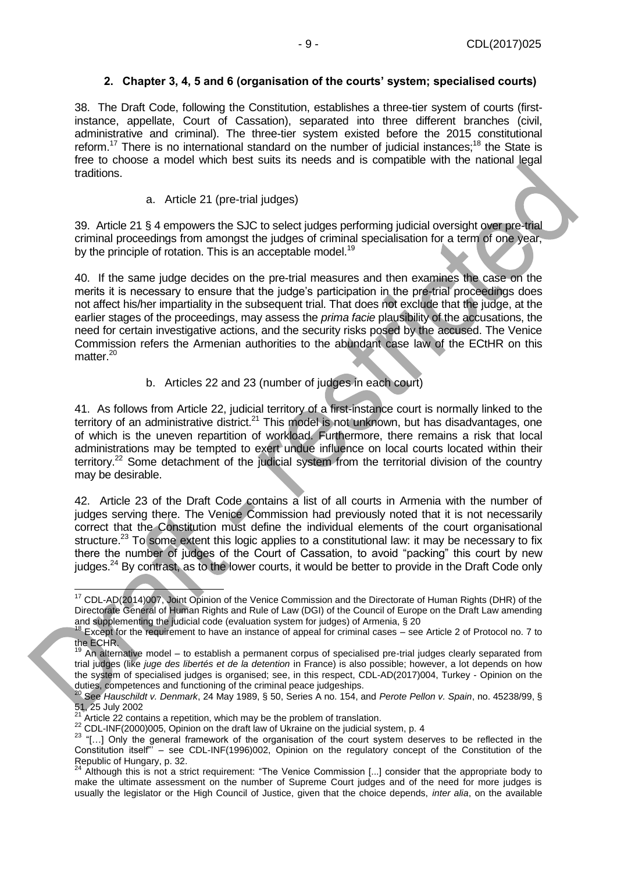## **2. Chapter 3, 4, 5 and 6 (organisation of the courts' system; specialised courts)**

<span id="page-8-0"></span>38. The Draft Code, following the Constitution, establishes a three-tier system of courts (firstinstance, appellate, Court of Cassation), separated into three different branches (civil, administrative and criminal). The three-tier system existed before the 2015 constitutional reform.<sup>17</sup> There is no international standard on the number of judicial instances;<sup>18</sup> the State is free to choose a model which best suits its needs and is compatible with the national legal traditions.

a. Article 21 (pre-trial judges)

39. Article 21 § 4 empowers the SJC to select judges performing judicial oversight over pre-trial criminal proceedings from amongst the judges of criminal specialisation for a term of one year, by the principle of rotation. This is an acceptable model.<sup>19</sup>

40. If the same judge decides on the pre-trial measures and then examines the case on the merits it is necessary to ensure that the judge's participation in the pre-trial proceedings does not affect his/her impartiality in the subsequent trial. That does not exclude that the judge, at the earlier stages of the proceedings, may assess the *prima facie* plausibility of the accusations, the need for certain investigative actions, and the security risks posed by the accused. The Venice Commission refers the Armenian authorities to the abundant case law of the ECtHR on this matter.<sup>20</sup>

#### b. Articles 22 and 23 (number of judges in each court)

41. As follows from Article 22, judicial territory of a first-instance court is normally linked to the territory of an administrative district.<sup>21</sup> This model is not unknown, but has disadvantages, one of which is the uneven repartition of workload. Furthermore, there remains a risk that local administrations may be tempted to exert undue influence on local courts located within their territory.<sup>22</sup> Some detachment of the judicial system from the territorial division of the country may be desirable.

42. Article 23 of the Draft Code contains a list of all courts in Armenia with the number of judges serving there. The Venice Commission had previously noted that it is not necessarily correct that the Constitution must define the individual elements of the court organisational structure.<sup>23</sup> To some extent this logic applies to a constitutional law: it may be necessary to fix there the number of judges of the Court of Cassation, to avoid "packing" this court by new judges.<sup>24</sup> By contrast, as to the lower courts, it would be better to provide in the Draft Code only

<sup>-</sup><sup>17</sup> CDL-AD(2014)007, Joint Opinion of the Venice Commission and the Directorate of Human Rights (DHR) of the Directorate General of Human Rights and Rule of Law (DGI) of the Council of Europe on the Draft Law amending and supplementing the judicial code (evaluation system for judges) of Armenia, § 20

 $18$  Except for the requirement to have an instance of appeal for criminal cases – see Article 2 of Protocol no. 7 to the ECHR.

<sup>19</sup> An alternative model – to establish a permanent corpus of specialised pre-trial judges clearly separated from trial judges (like *juge des libertés et de la detention* in France) is also possible; however, a lot depends on how the system of specialised judges is organised; see, in this respect, CDL-AD(2017)004, Turkey - Opinion on the duties, competences and functioning of the criminal peace judgeships.

<sup>20</sup> See *Hauschildt v. Denmark*, 24 May 1989, § 50, Series A no. 154, and *Perote Pellon v. Spain*, no. 45238/99, §  $\frac{51}{21}$ , 25 July 2002

Article 22 contains a repetition, which may be the problem of translation.

<sup>22</sup> CDL-INF(2000)005, Opinion on the draft law of Ukraine on the judicial system, p. 4

<sup>&</sup>lt;sup>23</sup> "[...] Only the general framework of the organisation of the court system deserves to be reflected in the Constitution itself"' – see CDL-INF(1996)002, Opinion on the regulatory concept of the Constitution of the Republic of Hungary, p. 32.

 $24$  Although this is not a strict requirement: "The Venice Commission [...] consider that the appropriate body to make the ultimate assessment on the number of Supreme Court judges and of the need for more judges is usually the legislator or the High Council of Justice, given that the choice depends, *inter alia*, on the available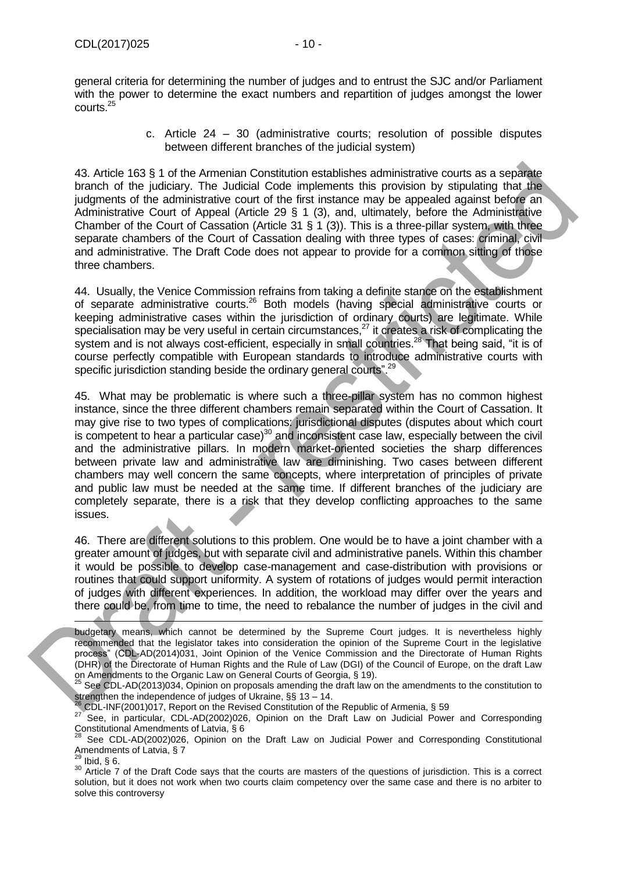general criteria for determining the number of judges and to entrust the SJC and/or Parliament with the power to determine the exact numbers and repartition of judges amongst the lower courts.<sup>25</sup>

> c. Article 24 – 30 (administrative courts; resolution of possible disputes between different branches of the judicial system)

43. Article 163 § 1 of the Armenian Constitution establishes administrative courts as a separate branch of the judiciary. The Judicial Code implements this provision by stipulating that the judgments of the administrative court of the first instance may be appealed against before an Administrative Court of Appeal (Article 29 § 1 (3), and, ultimately, before the Administrative Chamber of the Court of Cassation (Article 31 § 1 (3)). This is a three-pillar system, with three separate chambers of the Court of Cassation dealing with three types of cases: criminal, civil and administrative. The Draft Code does not appear to provide for a common sitting of those three chambers.

44. Usually, the Venice Commission refrains from taking a definite stance on the establishment of separate administrative courts.<sup>26</sup> Both models (having special administrative courts or keeping administrative cases within the jurisdiction of ordinary courts) are legitimate. While specialisation may be very useful in certain circumstances, $^{27}$  it creates a risk of complicating the system and is not always cost-efficient, especially in small countries.<sup>28</sup> That being said, "it is of course perfectly compatible with European standards to introduce administrative courts with specific jurisdiction standing beside the ordinary general courts".<sup>29</sup>

45. What may be problematic is where such a three-pillar system has no common highest instance, since the three different chambers remain separated within the Court of Cassation. It may give rise to two types of complications: jurisdictional disputes (disputes about which court is competent to hear a particular case) $30$  and inconsistent case law, especially between the civil and the administrative pillars. In modern market-oriented societies the sharp differences between private law and administrative law are diminishing. Two cases between different chambers may well concern the same concepts, where interpretation of principles of private and public law must be needed at the same time. If different branches of the judiciary are completely separate, there is a risk that they develop conflicting approaches to the same issues.

46. There are different solutions to this problem. One would be to have a joint chamber with a greater amount of judges, but with separate civil and administrative panels. Within this chamber it would be possible to develop case-management and case-distribution with provisions or routines that could support uniformity. A system of rotations of judges would permit interaction of judges with different experiences. In addition, the workload may differ over the years and there could be, from time to time, the need to rebalance the number of judges in the civil and

 $^{26}$  CDL-INF(2001)017, Report on the Revised Constitution of the Republic of Armenia, § 59

 $^{29}$  Ibid, § 6.

budgetary means, which cannot be determined by the Supreme Court judges. It is nevertheless highly recommended that the legislator takes into consideration the opinion of the Supreme Court in the legislative process" (CDL-AD(2014)031, Joint Opinion of the Venice Commission and the Directorate of Human Rights (DHR) of the Directorate of Human Rights and the Rule of Law (DGI) of the Council of Europe, on the draft Law on Amendments to the Organic Law on General Courts of Georgia, § 19).

See CDL-AD(2013)034, Opinion on proposals amending the draft law on the amendments to the constitution to strengthen the independence of judges of Ukraine, §§ 13 – 14.

<sup>27</sup> See, in particular, CDL-AD(2002)026, Opinion on the Draft Law on Judicial Power and Corresponding Constitutional Amendments of Latvia, § 6

See CDL-AD(2002)026, Opinion on the Draft Law on Judicial Power and Corresponding Constitutional Amendments of Latvia, § 7

<sup>30</sup> Article 7 of the Draft Code says that the courts are masters of the questions of jurisdiction. This is a correct solution, but it does not work when two courts claim competency over the same case and there is no arbiter to solve this controversy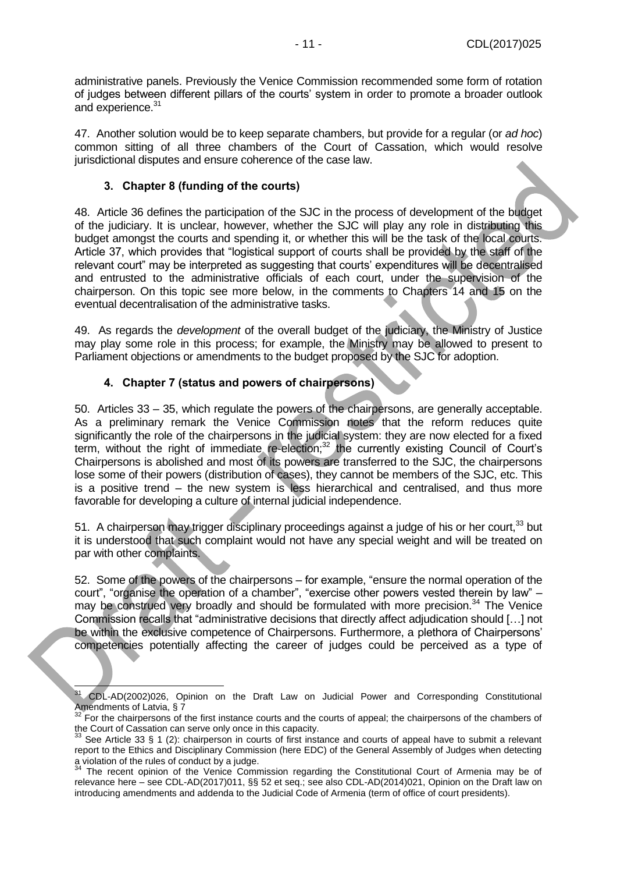administrative panels. Previously the Venice Commission recommended some form of rotation of judges between different pillars of the courts' system in order to promote a broader outlook and experience.<sup>31</sup>

47. Another solution would be to keep separate chambers, but provide for a regular (or *ad hoc*) common sitting of all three chambers of the Court of Cassation, which would resolve jurisdictional disputes and ensure coherence of the case law.

#### **3. Chapter 8 (funding of the courts)**

<span id="page-10-0"></span>48. Article 36 defines the participation of the SJC in the process of development of the budget of the judiciary. It is unclear, however, whether the SJC will play any role in distributing this budget amongst the courts and spending it, or whether this will be the task of the local courts. Article 37, which provides that "logistical support of courts shall be provided by the staff of the relevant court" may be interpreted as suggesting that courts' expenditures will be decentralised and entrusted to the administrative officials of each court, under the supervision of the chairperson. On this topic see more below, in the comments to Chapters 14 and 15 on the eventual decentralisation of the administrative tasks.

49. As regards the *development* of the overall budget of the judiciary, the Ministry of Justice may play some role in this process; for example, the Ministry may be allowed to present to Parliament objections or amendments to the budget proposed by the SJC for adoption.

### **4. Chapter 7 (status and powers of chairpersons)**

<span id="page-10-1"></span>50. Articles 33 – 35, which regulate the powers of the chairpersons, are generally acceptable. As a preliminary remark the Venice Commission notes that the reform reduces quite significantly the role of the chairpersons in the judicial system: they are now elected for a fixed term, without the right of immediate re-election;<sup>32</sup> the currently existing Council of Court's Chairpersons is abolished and most of its powers are transferred to the SJC, the chairpersons lose some of their powers (distribution of cases), they cannot be members of the SJC, etc. This is a positive trend – the new system is less hierarchical and centralised, and thus more favorable for developing a culture of internal judicial independence.

51. A chairperson may trigger disciplinary proceedings against a judge of his or her court,<sup>33</sup> but it is understood that such complaint would not have any special weight and will be treated on par with other complaints.

52. Some of the powers of the chairpersons – for example, "ensure the normal operation of the court", "organise the operation of a chamber", "exercise other powers vested therein by law" – may be construed very broadly and should be formulated with more precision.<sup>34</sup> The Venice Commission recalls that "administrative decisions that directly affect adjudication should […] not be within the exclusive competence of Chairpersons. Furthermore, a plethora of Chairpersons' competencies potentially affecting the career of judges could be perceived as a type of

 $\overline{a}$ <sup>31</sup> CDL-AD(2002)026, Opinion on the Draft Law on Judicial Power and Corresponding Constitutional Amendments of Latvia, § 7

<sup>&</sup>lt;sup>32</sup> For the chairpersons of the first instance courts and the courts of appeal; the chairpersons of the chambers of the Court of Cassation can serve only once in this capacity.

See Article 33 § 1 (2): chairperson in courts of first instance and courts of appeal have to submit a relevant report to the Ethics and Disciplinary Commission (here EDC) of the General Assembly of Judges when detecting a violation of the rules of conduct by a judge.

<sup>&</sup>lt;sup>34</sup> The recent opinion of the Venice Commission regarding the Constitutional Court of Armenia may be of relevance here – see CDL-AD(2017)011, §§ 52 et seq.; see also CDL-AD(2014)021, Opinion on the Draft law on introducing amendments and addenda to the Judicial Code of Armenia (term of office of court presidents).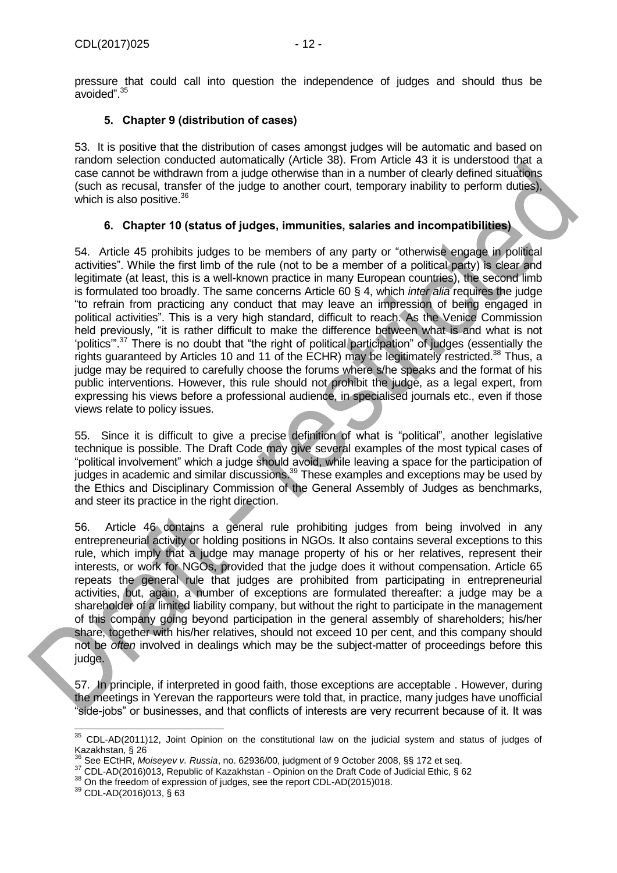pressure that could call into question the independence of judges and should thus be avoided". 35

## **5. Chapter 9 (distribution of cases)**

<span id="page-11-0"></span>53. It is positive that the distribution of cases amongst judges will be automatic and based on random selection conducted automatically (Article 38). From Article 43 it is understood that a case cannot be withdrawn from a judge otherwise than in a number of clearly defined situations (such as recusal, transfer of the judge to another court, temporary inability to perform duties), which is also positive. $36$ 

## **6. Chapter 10 (status of judges, immunities, salaries and incompatibilities)**

<span id="page-11-1"></span>54. Article 45 prohibits judges to be members of any party or "otherwise engage in political activities". While the first limb of the rule (not to be a member of a political party) is clear and legitimate (at least, this is a well-known practice in many European countries), the second limb is formulated too broadly. The same concerns Article 60 § 4, which *inter alia* requires the judge "to refrain from practicing any conduct that may leave an impression of being engaged in political activities". This is a very high standard, difficult to reach. As the Venice Commission held previously, "it is rather difficult to make the difference between what is and what is not 'politics'". <sup>37</sup> There is no doubt that "the right of political participation" of judges (essentially the rights guaranteed by Articles 10 and 11 of the ECHR) may be legitimately restricted.<sup>38</sup> Thus, a judge may be required to carefully choose the forums where s/he speaks and the format of his public interventions. However, this rule should not prohibit the judge, as a legal expert, from expressing his views before a professional audience, in specialised journals etc., even if those views relate to policy issues.

55. Since it is difficult to give a precise definition of what is "political", another legislative technique is possible. The Draft Code may give several examples of the most typical cases of "political involvement" which a judge should avoid, while leaving a space for the participation of judges in academic and similar discussions.<sup>39</sup> These examples and exceptions may be used by the Ethics and Disciplinary Commission of the General Assembly of Judges as benchmarks, and steer its practice in the right direction.

56. Article 46 contains a general rule prohibiting judges from being involved in any entrepreneurial activity or holding positions in NGOs. It also contains several exceptions to this rule, which imply that a judge may manage property of his or her relatives, represent their interests, or work for NGOs, provided that the judge does it without compensation. Article 65 repeats the general rule that judges are prohibited from participating in entrepreneurial activities, but, again, a number of exceptions are formulated thereafter: a judge may be a shareholder of a limited liability company, but without the right to participate in the management of this company going beyond participation in the general assembly of shareholders; his/her share, together with his/her relatives, should not exceed 10 per cent, and this company should not be *often* involved in dealings which may be the subject-matter of proceedings before this judge.

57. In principle, if interpreted in good faith, those exceptions are acceptable . However, during the meetings in Yerevan the rapporteurs were told that, in practice, many judges have unofficial "side-jobs" or businesses, and that conflicts of interests are very recurrent because of it. It was

<sup>-</sup> $35$  CDL-AD(2011)12, Joint Opinion on the constitutional law on the judicial system and status of judges of Kazakhstan, § 26

<sup>36</sup> See ECtHR, *Moiseyev v. Russia*, no. 62936/00, judgment of 9 October 2008, §§ 172 et seq.

<sup>37</sup> CDL-AD(2016)013, Republic of Kazakhstan - Opinion on the Draft Code of Judicial Ethic, § 62

<sup>&</sup>lt;sup>38</sup> On the freedom of expression of judges, see the report CDL-AD(2015)018.

<sup>39</sup> CDL-AD(2016)013, § 63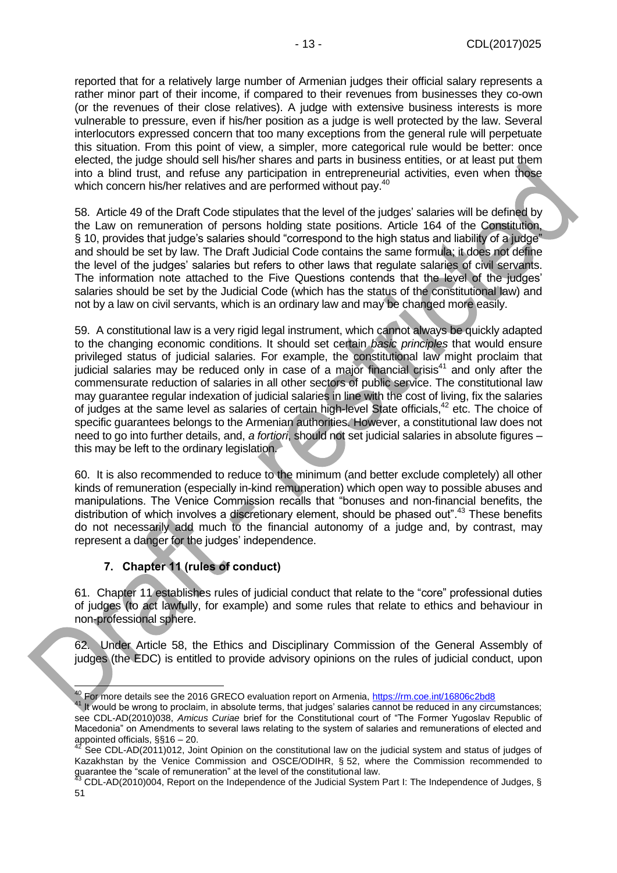reported that for a relatively large number of Armenian judges their official salary represents a rather minor part of their income, if compared to their revenues from businesses they co-own (or the revenues of their close relatives). A judge with extensive business interests is more vulnerable to pressure, even if his/her position as a judge is well protected by the law. Several interlocutors expressed concern that too many exceptions from the general rule will perpetuate this situation. From this point of view, a simpler, more categorical rule would be better: once elected, the judge should sell his/her shares and parts in business entities, or at least put them into a blind trust, and refuse any participation in entrepreneurial activities, even when those which concern his/her relatives and are performed without pay.<sup>40</sup>

58. Article 49 of the Draft Code stipulates that the level of the judges' salaries will be defined by the Law on remuneration of persons holding state positions. Article 164 of the Constitution, § 10, provides that judge's salaries should "correspond to the high status and liability of a judge" and should be set by law. The Draft Judicial Code contains the same formula; it does not define the level of the judges' salaries but refers to other laws that regulate salaries of civil servants. The information note attached to the Five Questions contends that the level of the judges' salaries should be set by the Judicial Code (which has the status of the constitutional law) and not by a law on civil servants, which is an ordinary law and may be changed more easily.

59. A constitutional law is a very rigid legal instrument, which cannot always be quickly adapted to the changing economic conditions. It should set certain *basic principles* that would ensure privileged status of judicial salaries. For example, the constitutional law might proclaim that judicial salaries may be reduced only in case of a major financial crisis<sup>41</sup> and only after the commensurate reduction of salaries in all other sectors of public service. The constitutional law may guarantee regular indexation of judicial salaries in line with the cost of living, fix the salaries of judges at the same level as salaries of certain high-level State officials,<sup>42</sup> etc. The choice of specific guarantees belongs to the Armenian authorities. However, a constitutional law does not need to go into further details, and, *a fortiori*, should not set judicial salaries in absolute figures – this may be left to the ordinary legislation.

60. It is also recommended to reduce to the minimum (and better exclude completely) all other kinds of remuneration (especially in-kind remuneration) which open way to possible abuses and manipulations. The Venice Commission recalls that "bonuses and non-financial benefits, the distribution of which involves a discretionary element, should be phased out".<sup>43</sup> These benefits do not necessarily add much to the financial autonomy of a judge and, by contrast, may represent a danger for the judges' independence.

## **7. Chapter 11 (rules of conduct)**

<span id="page-12-0"></span>61. Chapter 11 establishes rules of judicial conduct that relate to the "core" professional duties of judges (to act lawfully, for example) and some rules that relate to ethics and behaviour in non-professional sphere.

62. Under Article 58, the Ethics and Disciplinary Commission of the General Assembly of judges (the EDC) is entitled to provide advisory opinions on the rules of judicial conduct, upon

 $\overline{a}$ <sup>40</sup> For more details see the 2016 GRECO evaluation report on Armenia,<https://rm.coe.int/16806c2bd8>

<sup>&</sup>lt;sup>41</sup> It would be wrong to proclaim, in absolute terms, that judges' salaries cannot be reduced in any circumstances; see CDL-AD(2010)038, *Amicus Curiae* brief for the Constitutional court of "The Former Yugoslav Republic of Macedonia" on Amendments to several laws relating to the system of salaries and remunerations of elected and appointed officials, §§16 – 20.

 $42$  See CDL-AD(2011)012, Joint Opinion on the constitutional law on the judicial system and status of judges of Kazakhstan by the Venice Commission and OSCE/ODIHR, § 52, where the Commission recommended to guarantee the "scale of remuneration" at the level of the constitutional law.

 $^3$  CDL-AD(2010)004, Report on the Independence of the Judicial System Part I: The Independence of Judges, § 51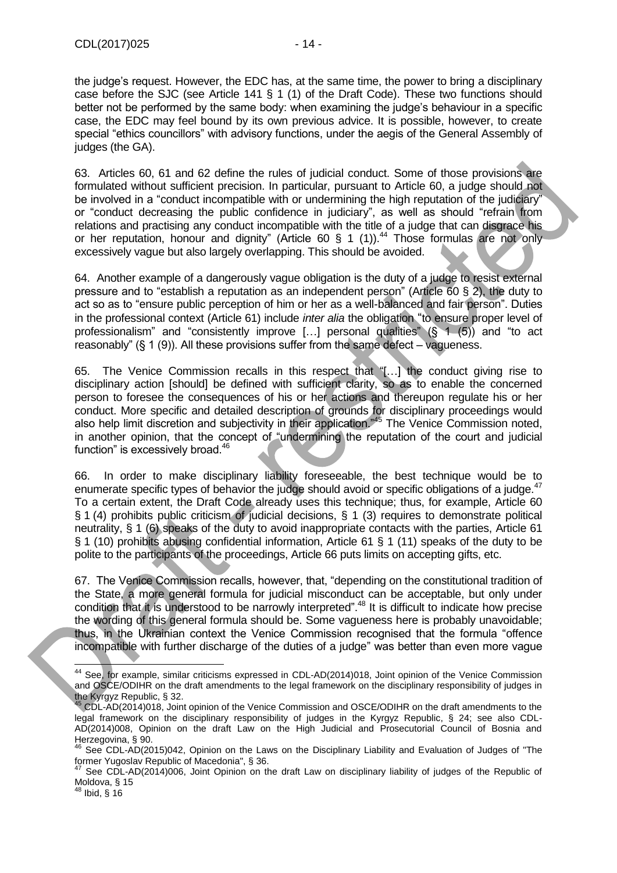the judge's request. However, the EDC has, at the same time, the power to bring a disciplinary case before the SJC (see Article 141 § 1 (1) of the Draft Code). These two functions should better not be performed by the same body: when examining the judge's behaviour in a specific case, the EDC may feel bound by its own previous advice. It is possible, however, to create special "ethics councillors" with advisory functions, under the aegis of the General Assembly of judges (the GA).

63. Articles 60, 61 and 62 define the rules of judicial conduct. Some of those provisions are formulated without sufficient precision. In particular, pursuant to Article 60, a judge should not be involved in a "conduct incompatible with or undermining the high reputation of the judiciary" or "conduct decreasing the public confidence in judiciary", as well as should "refrain from relations and practising any conduct incompatible with the title of a judge that can disgrace his or her reputation, honour and dignity" (Article 60 § 1 (1)).<sup>44</sup> Those formulas are not only excessively vague but also largely overlapping. This should be avoided.

64. Another example of a dangerously vague obligation is the duty of a judge to resist external pressure and to "establish a reputation as an independent person" (Article 60 § 2), the duty to act so as to "ensure public perception of him or her as a well-balanced and fair person". Duties in the professional context (Article 61) include *inter alia* the obligation "to ensure proper level of professionalism" and "consistently improve [...] personal qualities"  $(S \ 1 \ 5)$  and "to act reasonably"  $(\S 1 (9))$ . All these provisions suffer from the same defect – vagueness.

65. The Venice Commission recalls in this respect that "[…] the conduct giving rise to disciplinary action [should] be defined with sufficient clarity, so as to enable the concerned person to foresee the consequences of his or her actions and thereupon regulate his or her conduct. More specific and detailed description of grounds for disciplinary proceedings would also help limit discretion and subjectivity in their application."<sup>45</sup> The Venice Commission noted, in another opinion, that the concept of "undermining the reputation of the court and judicial function" is excessively broad.<sup>46</sup>

66. In order to make disciplinary liability foreseeable, the best technique would be to enumerate specific types of behavior the judge should avoid or specific obligations of a judge.<sup>47</sup> To a certain extent, the Draft Code already uses this technique; thus, for example, Article 60 § 1 (4) prohibits public criticism of judicial decisions, § 1 (3) requires to demonstrate political neutrality, § 1 (6) speaks of the duty to avoid inappropriate contacts with the parties, Article 61 § 1 (10) prohibits abusing confidential information, Article 61 § 1 (11) speaks of the duty to be polite to the participants of the proceedings, Article 66 puts limits on accepting gifts, etc.

67. The Venice Commission recalls, however, that, "depending on the constitutional tradition of the State, a more general formula for judicial misconduct can be acceptable, but only under condition that it is understood to be narrowly interpreted".<sup>48</sup> It is difficult to indicate how precise the wording of this general formula should be. Some vagueness here is probably unavoidable; thus, in the Ukrainian context the Venice Commission recognised that the formula "offence incompatible with further discharge of the duties of a judge" was better than even more vague

 $\overline{a}$ <sup>44</sup> See, for example, similar criticisms expressed in CDL-AD(2014)018, Joint opinion of the Venice Commission and OSCE/ODIHR on the draft amendments to the legal framework on the disciplinary responsibility of judges in the Kyrgyz Republic, § 32.

<sup>&</sup>lt;sup>45</sup> CDL-AD(2014)018, Joint opinion of the Venice Commission and OSCE/ODIHR on the draft amendments to the legal framework on the disciplinary responsibility of judges in the Kyrgyz Republic, § 24; see also CDL-AD(2014)008, Opinion on the draft Law on the High Judicial and Prosecutorial Council of Bosnia and Herzegovina, § 90.

 $46$  See CDL-AD(2015)042, Opinion on the Laws on the Disciplinary Liability and Evaluation of Judges of "The former Yugoslav Republic of Macedonia", § 36.

See CDL-AD(2014)006, Joint Opinion on the draft Law on disciplinary liability of judges of the Republic of Moldova, § 15

<sup>48</sup> Ibid, § 16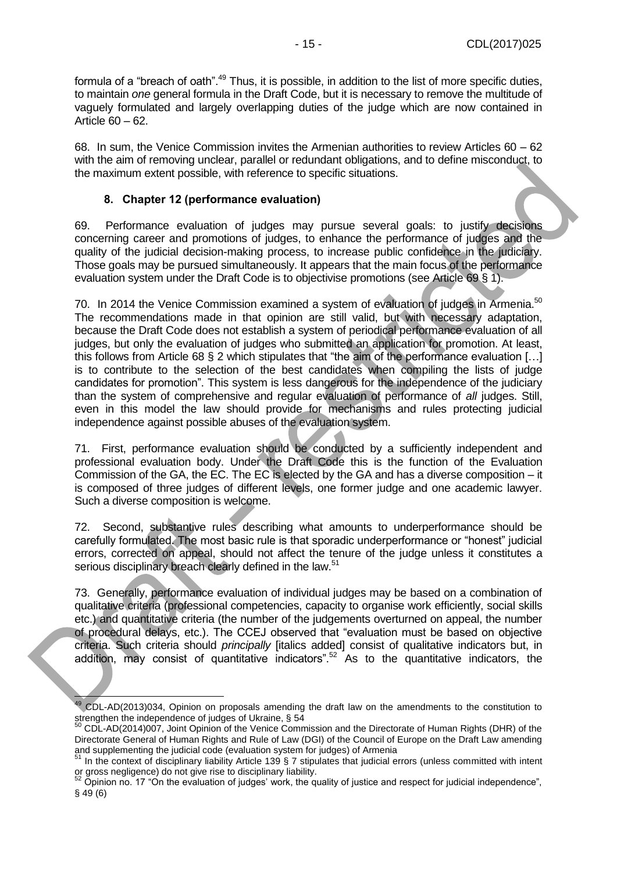formula of a "breach of oath".<sup>49</sup> Thus, it is possible, in addition to the list of more specific duties, to maintain *one* general formula in the Draft Code, but it is necessary to remove the multitude of vaguely formulated and largely overlapping duties of the judge which are now contained in Article 60 – 62.

68. In sum, the Venice Commission invites the Armenian authorities to review Articles 60 – 62 with the aim of removing unclear, parallel or redundant obligations, and to define misconduct, to the maximum extent possible, with reference to specific situations.

#### **8. Chapter 12 (performance evaluation)**

<span id="page-14-0"></span>69. Performance evaluation of judges may pursue several goals: to justify decisions concerning career and promotions of judges, to enhance the performance of judges and the quality of the judicial decision-making process, to increase public confidence in the judiciary. Those goals may be pursued simultaneously. It appears that the main focus of the performance evaluation system under the Draft Code is to objectivise promotions (see Article 69 § 1).

70. In 2014 the Venice Commission examined a system of evaluation of judges in Armenia.<sup>50</sup> The recommendations made in that opinion are still valid, but with necessary adaptation, because the Draft Code does not establish a system of periodical performance evaluation of all judges, but only the evaluation of judges who submitted an application for promotion. At least, this follows from Article 68 § 2 which stipulates that "the aim of the performance evaluation […] is to contribute to the selection of the best candidates when compiling the lists of judge candidates for promotion". This system is less dangerous for the independence of the judiciary than the system of comprehensive and regular evaluation of performance of *all* judges. Still, even in this model the law should provide for mechanisms and rules protecting judicial independence against possible abuses of the evaluation system.

71. First, performance evaluation should be conducted by a sufficiently independent and professional evaluation body. Under the Draft Code this is the function of the Evaluation Commission of the GA, the EC. The EC is elected by the GA and has a diverse composition – it is composed of three judges of different levels, one former judge and one academic lawyer. Such a diverse composition is welcome.

72. Second, substantive rules describing what amounts to underperformance should be carefully formulated. The most basic rule is that sporadic underperformance or "honest" judicial errors, corrected on appeal, should not affect the tenure of the judge unless it constitutes a serious disciplinary breach clearly defined in the law.<sup>51</sup>

73. Generally, performance evaluation of individual judges may be based on a combination of qualitative criteria (professional competencies, capacity to organise work efficiently, social skills etc.) and quantitative criteria (the number of the judgements overturned on appeal, the number of procedural delays, etc.). The CCEJ observed that "evaluation must be based on objective criteria. Such criteria should *principally* [italics added] consist of qualitative indicators but, in addition, may consist of quantitative indicators".<sup>52</sup> As to the quantitative indicators, the

È <sup>49</sup> CDL-AD(2013)034, Opinion on proposals amending the draft law on the amendments to the constitution to strengthen the independence of judges of Ukraine, § 54

<sup>&</sup>lt;sup>50</sup> CDL-AD(2014)007, Joint Opinion of the Venice Commission and the Directorate of Human Rights (DHR) of the Directorate General of Human Rights and Rule of Law (DGI) of the Council of Europe on the Draft Law amending and supplementing the judicial code (evaluation system for judges) of Armenia

 $51$  In the context of disciplinary liability Article 139 § 7 stipulates that judicial errors (unless committed with intent or gross negligence) do not give rise to disciplinary liability.

 $52$  Opinion no. 17 "On the evaluation of judges' work, the quality of justice and respect for judicial independence", § 49 (6)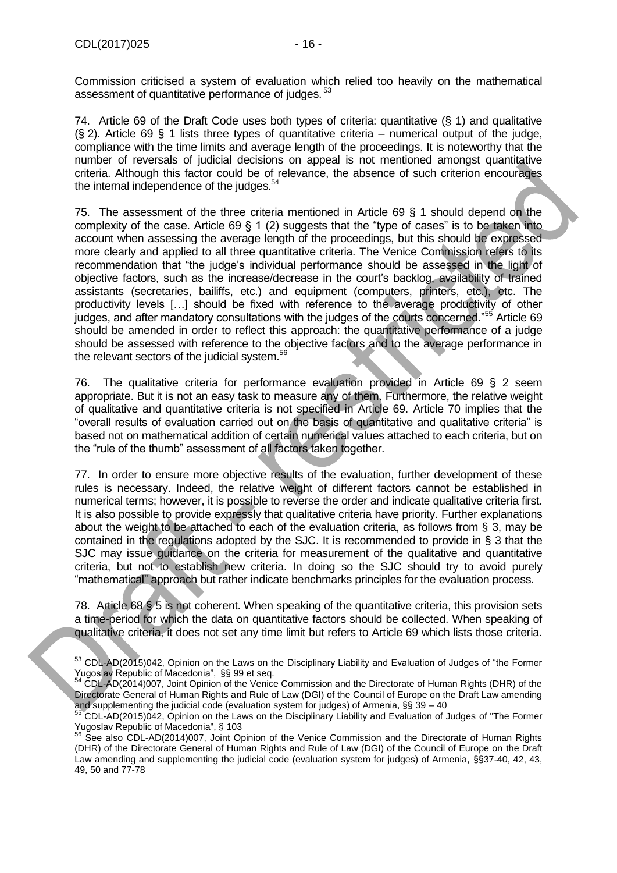Commission criticised a system of evaluation which relied too heavily on the mathematical assessment of quantitative performance of judges.<sup>53</sup>

74. Article 69 of the Draft Code uses both types of criteria: quantitative (§ 1) and qualitative  $(S, 2)$ . Article 69  $S, 1$  lists three types of quantitative criteria – numerical output of the judge, compliance with the time limits and average length of the proceedings. It is noteworthy that the number of reversals of judicial decisions on appeal is not mentioned amongst quantitative criteria. Although this factor could be of relevance, the absence of such criterion encourages the internal independence of the judges.<sup>54</sup>

75. The assessment of the three criteria mentioned in Article 69 § 1 should depend on the complexity of the case. Article  $69 \xi 1$  (2) suggests that the "type of cases" is to be taken into account when assessing the average length of the proceedings, but this should be expressed more clearly and applied to all three quantitative criteria. The Venice Commission refers to its recommendation that "the judge's individual performance should be assessed in the light of objective factors, such as the increase/decrease in the court's backlog, availability of trained assistants (secretaries, bailiffs, etc.) and equipment (computers, printers, etc.), etc. The productivity levels […] should be fixed with reference to the average productivity of other judges, and after mandatory consultations with the judges of the courts concerned."<sup>55</sup> Article 69 should be amended in order to reflect this approach: the quantitative performance of a judge should be assessed with reference to the objective factors and to the average performance in the relevant sectors of the judicial system.<sup>56</sup>

76. The qualitative criteria for performance evaluation provided in Article 69 § 2 seem appropriate. But it is not an easy task to measure any of them. Furthermore, the relative weight of qualitative and quantitative criteria is not specified in Article 69. Article 70 implies that the "overall results of evaluation carried out on the basis of quantitative and qualitative criteria" is based not on mathematical addition of certain numerical values attached to each criteria, but on the "rule of the thumb" assessment of all factors taken together.

77. In order to ensure more objective results of the evaluation, further development of these rules is necessary. Indeed, the relative weight of different factors cannot be established in numerical terms; however, it is possible to reverse the order and indicate qualitative criteria first. It is also possible to provide expressly that qualitative criteria have priority. Further explanations about the weight to be attached to each of the evaluation criteria, as follows from § 3, may be contained in the regulations adopted by the SJC. It is recommended to provide in § 3 that the SJC may issue quidance on the criteria for measurement of the qualitative and quantitative criteria, but not to establish new criteria. In doing so the SJC should try to avoid purely "mathematical" approach but rather indicate benchmarks principles for the evaluation process.

78. Article 68 § 5 is not coherent. When speaking of the quantitative criteria, this provision sets a time-period for which the data on quantitative factors should be collected. When speaking of qualitative criteria, it does not set any time limit but refers to Article 69 which lists those criteria.

<sup>-</sup><sup>53</sup> CDL-AD(2015)042, Opinion on the Laws on the Disciplinary Liability and Evaluation of Judges of "the Former Yugoslav Republic of Macedonia", §§ 99 et seq.

<sup>&</sup>lt;sup>54</sup> CDL-AD(2014)007, Joint Opinion of the Venice Commission and the Directorate of Human Rights (DHR) of the Directorate General of Human Rights and Rule of Law (DGI) of the Council of Europe on the Draft Law amending and supplementing the judicial code (evaluation system for judges) of Armenia, §§ 39 – 40

<sup>55</sup> CDL-AD(2015)042, Opinion on the Laws on the Disciplinary Liability and Evaluation of Judges of "The Former Yugoslav Republic of Macedonia", § 103

<sup>&</sup>lt;sup>56</sup> See also CDL-AD(2014)007, Joint Opinion of the Venice Commission and the Directorate of Human Rights (DHR) of the Directorate General of Human Rights and Rule of Law (DGI) of the Council of Europe on the Draft Law amending and supplementing the judicial code (evaluation system for judges) of Armenia, §§37-40, 42, 43, 49, 50 and 77-78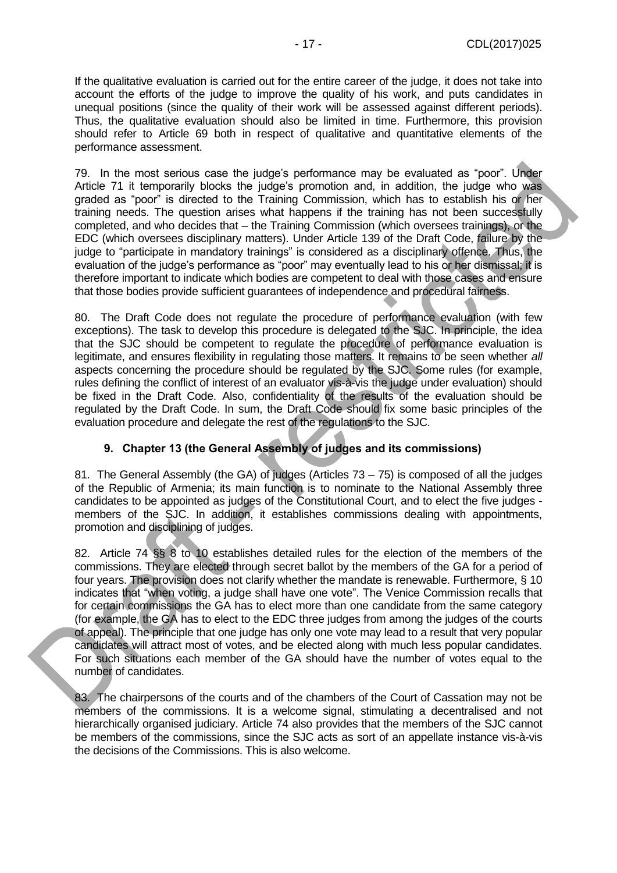If the qualitative evaluation is carried out for the entire career of the judge, it does not take into account the efforts of the judge to improve the quality of his work, and puts candidates in unequal positions (since the quality of their work will be assessed against different periods). Thus, the qualitative evaluation should also be limited in time. Furthermore, this provision should refer to Article 69 both in respect of qualitative and quantitative elements of the performance assessment.

79. In the most serious case the judge's performance may be evaluated as "poor". Under Article 71 it temporarily blocks the judge's promotion and, in addition, the judge who was graded as "poor" is directed to the Training Commission, which has to establish his or her training needs. The question arises what happens if the training has not been successfully completed, and who decides that – the Training Commission (which oversees trainings), or the EDC (which oversees disciplinary matters). Under Article 139 of the Draft Code, failure by the judge to "participate in mandatory trainings" is considered as a disciplinary offence. Thus, the evaluation of the judge's performance as "poor" may eventually lead to his or her dismissal; it is therefore important to indicate which bodies are competent to deal with those cases and ensure that those bodies provide sufficient guarantees of independence and procedural fairness.

80. The Draft Code does not regulate the procedure of performance evaluation (with few exceptions). The task to develop this procedure is delegated to the SJC. In principle, the idea that the SJC should be competent to regulate the procedure of performance evaluation is legitimate, and ensures flexibility in regulating those matters. It remains to be seen whether *all* aspects concerning the procedure should be regulated by the SJC. Some rules (for example, rules defining the conflict of interest of an evaluator vis-à-vis the judge under evaluation) should be fixed in the Draft Code. Also, confidentiality of the results of the evaluation should be regulated by the Draft Code. In sum, the Draft Code should fix some basic principles of the evaluation procedure and delegate the rest of the regulations to the SJC.

## **9. Chapter 13 (the General Assembly of judges and its commissions)**

<span id="page-16-0"></span>81. The General Assembly (the GA) of judges (Articles 73 – 75) is composed of all the judges of the Republic of Armenia; its main function is to nominate to the National Assembly three candidates to be appointed as judges of the Constitutional Court, and to elect the five judges members of the SJC. In addition, it establishes commissions dealing with appointments, promotion and disciplining of judges.

82. Article 74 §§ 8 to 10 establishes detailed rules for the election of the members of the commissions. They are elected through secret ballot by the members of the GA for a period of four years. The provision does not clarify whether the mandate is renewable. Furthermore, § 10 indicates that "when voting, a judge shall have one vote". The Venice Commission recalls that for certain commissions the GA has to elect more than one candidate from the same category (for example, the GA has to elect to the EDC three judges from among the judges of the courts of appeal). The principle that one judge has only one vote may lead to a result that very popular candidates will attract most of votes, and be elected along with much less popular candidates. For such situations each member of the GA should have the number of votes equal to the number of candidates.

83. The chairpersons of the courts and of the chambers of the Court of Cassation may not be members of the commissions. It is a welcome signal, stimulating a decentralised and not hierarchically organised judiciary. Article 74 also provides that the members of the SJC cannot be members of the commissions, since the SJC acts as sort of an appellate instance vis-à-vis the decisions of the Commissions. This is also welcome.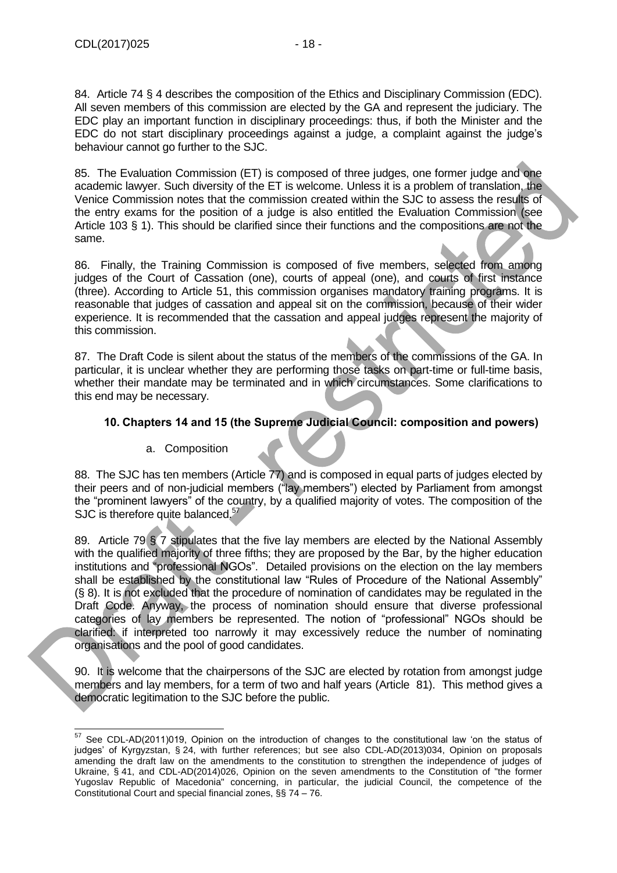85. The Evaluation Commission (ET) is composed of three judges, one former judge and one academic lawyer. Such diversity of the ET is welcome. Unless it is a problem of translation, the Venice Commission notes that the commission created within the SJC to assess the results of the entry exams for the position of a judge is also entitled the Evaluation Commission (see Article 103 § 1). This should be clarified since their functions and the compositions are not the same.

86. Finally, the Training Commission is composed of five members, selected from among judges of the Court of Cassation (one), courts of appeal (one), and courts of first instance (three). According to Article 51, this commission organises mandatory training programs. It is reasonable that judges of cassation and appeal sit on the commission, because of their wider experience. It is recommended that the cassation and appeal judges represent the majority of this commission.

87. The Draft Code is silent about the status of the members of the commissions of the GA. In particular, it is unclear whether they are performing those tasks on part-time or full-time basis, whether their mandate may be terminated and in which circumstances. Some clarifications to this end may be necessary.

## <span id="page-17-0"></span>**10. Chapters 14 and 15 (the Supreme Judicial Council: composition and powers)**

## a. Composition

88. The SJC has ten members (Article 77) and is composed in equal parts of judges elected by their peers and of non-judicial members ("lay members") elected by Parliament from amongst the "prominent lawyers" of the country, by a qualified majority of votes. The composition of the SJC is therefore quite balanced. $57$ 

89. Article 79 § 7 stipulates that the five lay members are elected by the National Assembly with the qualified majority of three fifths; they are proposed by the Bar, by the higher education institutions and "professional NGOs". Detailed provisions on the election on the lay members shall be established by the constitutional law "Rules of Procedure of the National Assembly" (§ 8). It is not excluded that the procedure of nomination of candidates may be regulated in the Draft Code. Anyway, the process of nomination should ensure that diverse professional categories of lay members be represented. The notion of "professional" NGOs should be clarified: if interpreted too narrowly it may excessively reduce the number of nominating organisations and the pool of good candidates.

90. It is welcome that the chairpersons of the SJC are elected by rotation from amongst judge members and lay members, for a term of two and half years (Article 81). This method gives a democratic legitimation to the SJC before the public.

<sup>-</sup> $57$  See CDL-AD(2011)019, Opinion on the introduction of changes to the constitutional law 'on the status of judges' of Kyrgyzstan, § 24, with further references; but see also CDL-AD(2013)034, Opinion on proposals amending the draft law on the amendments to the constitution to strengthen the independence of judges of Ukraine, § 41, and CDL-AD(2014)026, Opinion on the seven amendments to the Constitution of "the former Yugoslav Republic of Macedonia" concerning, in particular, the judicial Council, the competence of the Constitutional Court and special financial zones, §§ 74 – 76.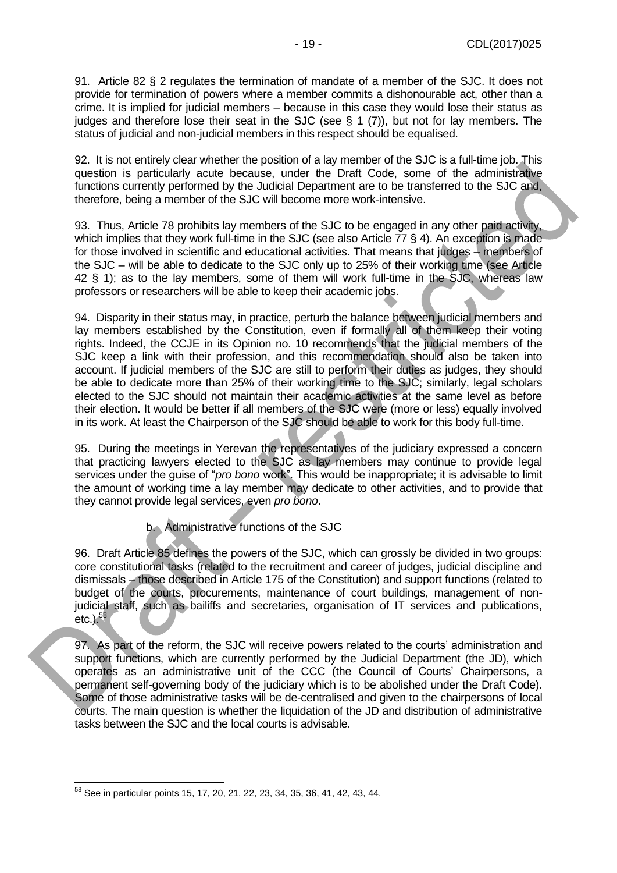91. Article 82 § 2 regulates the termination of mandate of a member of the SJC. It does not provide for termination of powers where a member commits a dishonourable act, other than a crime. It is implied for judicial members – because in this case they would lose their status as judges and therefore lose their seat in the SJC (see § 1 (7)), but not for lay members. The status of judicial and non-judicial members in this respect should be equalised.

92. It is not entirely clear whether the position of a lay member of the SJC is a full-time job. This question is particularly acute because, under the Draft Code, some of the administrative functions currently performed by the Judicial Department are to be transferred to the SJC and, therefore, being a member of the SJC will become more work-intensive.

93. Thus, Article 78 prohibits lay members of the SJC to be engaged in any other paid activity, which implies that they work full-time in the SJC (see also Article 77 § 4). An exception is made for those involved in scientific and educational activities. That means that judges – members of the SJC – will be able to dedicate to the SJC only up to 25% of their working time (see Article 42 § 1); as to the lay members, some of them will work full-time in the SJC, whereas law professors or researchers will be able to keep their academic jobs.

94. Disparity in their status may, in practice, perturb the balance between judicial members and lay members established by the Constitution, even if formally all of them keep their voting rights. Indeed, the CCJE in its Opinion no. 10 recommends that the judicial members of the SJC keep a link with their profession, and this recommendation should also be taken into account. If judicial members of the SJC are still to perform their duties as judges, they should be able to dedicate more than 25% of their working time to the SJC; similarly, legal scholars elected to the SJC should not maintain their academic activities at the same level as before their election. It would be better if all members of the SJC were (more or less) equally involved in its work. At least the Chairperson of the SJC should be able to work for this body full-time.

95. During the meetings in Yerevan the representatives of the judiciary expressed a concern that practicing lawyers elected to the SJC as lay members may continue to provide legal services under the guise of "*pro bono* work". This would be inappropriate; it is advisable to limit the amount of working time a lay member may dedicate to other activities, and to provide that they cannot provide legal services, even *pro bono*.

b. Administrative functions of the SJC

96. Draft Article 85 defines the powers of the SJC, which can grossly be divided in two groups: core constitutional tasks (related to the recruitment and career of judges, judicial discipline and dismissals – those described in Article 175 of the Constitution) and support functions (related to budget of the courts, procurements, maintenance of court buildings, management of nonjudicial staff, such as bailiffs and secretaries, organisation of IT services and publications, etc.). $58$ 

97. As part of the reform, the SJC will receive powers related to the courts' administration and support functions, which are currently performed by the Judicial Department (the JD), which operates as an administrative unit of the CCC (the Council of Courts' Chairpersons, a permanent self-governing body of the judiciary which is to be abolished under the Draft Code). Some of those administrative tasks will be de-centralised and given to the chairpersons of local courts. The main question is whether the liquidation of the JD and distribution of administrative tasks between the SJC and the local courts is advisable.

 $58$  See in particular points 15, 17, 20, 21, 22, 23, 34, 35, 36, 41, 42, 43, 44.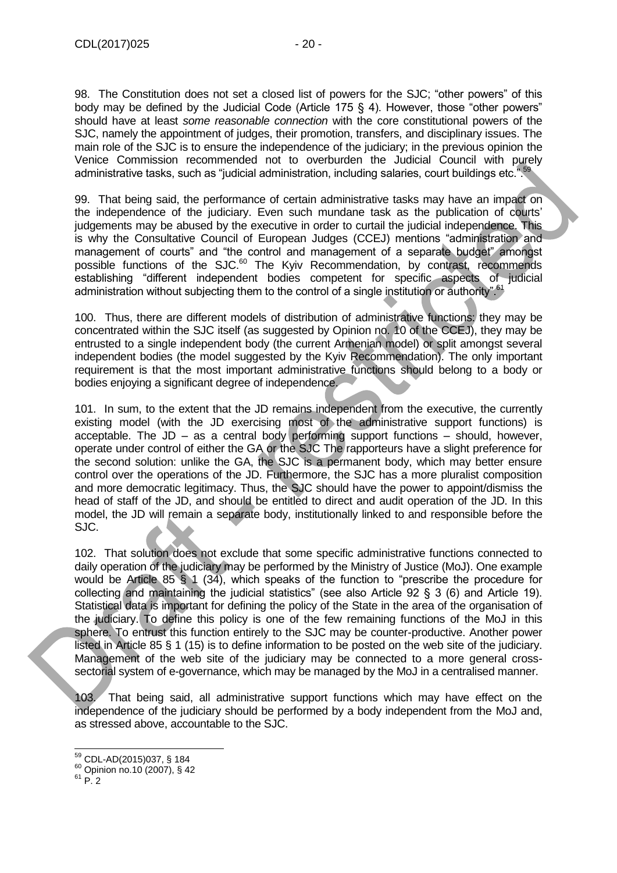98. The Constitution does not set a closed list of powers for the SJC; "other powers" of this body may be defined by the Judicial Code (Article 175 § 4). However, those "other powers" should have at least *some reasonable connection* with the core constitutional powers of the SJC, namely the appointment of judges, their promotion, transfers, and disciplinary issues. The main role of the SJC is to ensure the independence of the judiciary; in the previous opinion the Venice Commission recommended not to overburden the Judicial Council with purely administrative tasks, such as "judicial administration, including salaries, court buildings etc.".59

99. That being said, the performance of certain administrative tasks may have an impact on the independence of the judiciary. Even such mundane task as the publication of courts' judgements may be abused by the executive in order to curtail the judicial independence. This is why the Consultative Council of European Judges (CCEJ) mentions "administration and management of courts" and "the control and management of a separate budget" amongst possible functions of the SJC.<sup>60</sup> The Kyiv Recommendation, by contrast, recommends establishing "different independent bodies competent for specific aspects of judicial administration without subjecting them to the control of a single institution or authority".<sup>6</sup>

100. Thus, there are different models of distribution of administrative functions: they may be concentrated within the SJC itself (as suggested by Opinion no. 10 of the CCEJ), they may be entrusted to a single independent body (the current Armenian model) or split amongst several independent bodies (the model suggested by the Kyiv Recommendation). The only important requirement is that the most important administrative functions should belong to a body or bodies enjoying a significant degree of independence.

101. In sum, to the extent that the JD remains independent from the executive, the currently existing model (with the JD exercising most of the administrative support functions) is acceptable. The  $JD - as a$  central body performing support functions  $-$  should, however, operate under control of either the GA or the SJC The rapporteurs have a slight preference for the second solution: unlike the GA, the SJC is a permanent body, which may better ensure control over the operations of the JD. Furthermore, the SJC has a more pluralist composition and more democratic legitimacy. Thus, the SJC should have the power to appoint/dismiss the head of staff of the JD, and should be entitled to direct and audit operation of the JD. In this model, the JD will remain a separate body, institutionally linked to and responsible before the SJC.

102. That solution does not exclude that some specific administrative functions connected to daily operation of the judiciary may be performed by the Ministry of Justice (MoJ). One example would be Article 85 § 1 (34), which speaks of the function to "prescribe the procedure for collecting and maintaining the judicial statistics" (see also Article 92 § 3 (6) and Article 19). Statistical data is important for defining the policy of the State in the area of the organisation of the judiciary. To define this policy is one of the few remaining functions of the MoJ in this sphere. To entrust this function entirely to the SJC may be counter-productive. Another power listed in Article 85 § 1 (15) is to define information to be posted on the web site of the judiciary. Management of the web site of the judiciary may be connected to a more general crosssectorial system of e-governance, which may be managed by the MoJ in a centralised manner.

103. That being said, all administrative support functions which may have effect on the independence of the judiciary should be performed by a body independent from the MoJ and, as stressed above, accountable to the SJC.

<sup>59</sup> CDL-AD(2015)037, § 184

 $60$  Opinion no.10 (2007), § 42

 $61$  P. 2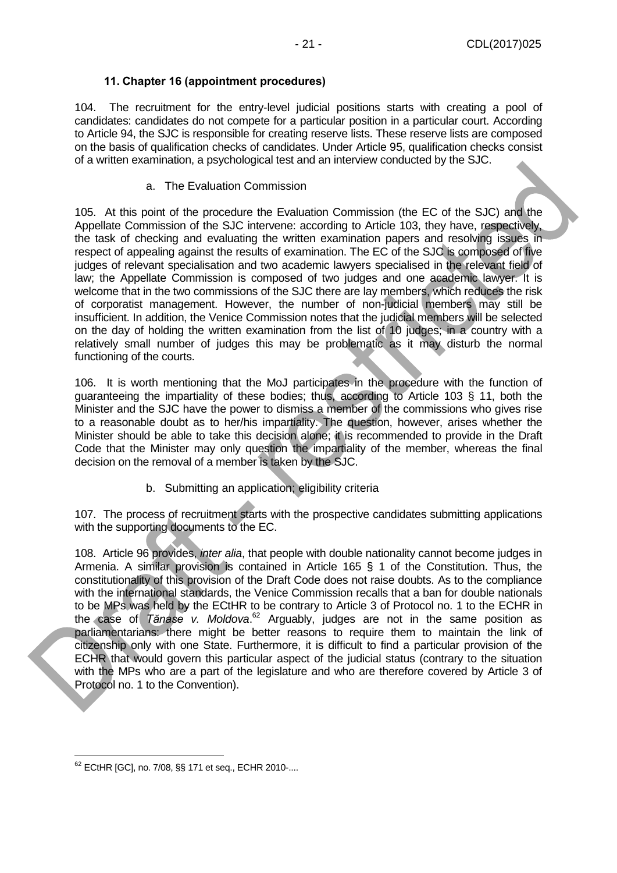#### **11. Chapter 16 (appointment procedures)**

<span id="page-20-0"></span>104. The recruitment for the entry-level judicial positions starts with creating a pool of candidates: candidates do not compete for a particular position in a particular court. According to Article 94, the SJC is responsible for creating reserve lists. These reserve lists are composed on the basis of qualification checks of candidates. Under Article 95, qualification checks consist of a written examination, a psychological test and an interview conducted by the SJC.

a. The Evaluation Commission

105. At this point of the procedure the Evaluation Commission (the EC of the SJC) and the Appellate Commission of the SJC intervene: according to Article 103, they have, respectively, the task of checking and evaluating the written examination papers and resolving issues in respect of appealing against the results of examination. The EC of the SJC is composed of five judges of relevant specialisation and two academic lawyers specialised in the relevant field of law; the Appellate Commission is composed of two judges and one academic lawyer. It is welcome that in the two commissions of the SJC there are lay members, which reduces the risk of corporatist management. However, the number of non-judicial members may still be insufficient. In addition, the Venice Commission notes that the judicial members will be selected on the day of holding the written examination from the list of 10 judges; in a country with a relatively small number of judges this may be problematic as it may disturb the normal functioning of the courts.

106. It is worth mentioning that the MoJ participates in the procedure with the function of guaranteeing the impartiality of these bodies; thus, according to Article 103 § 11, both the Minister and the SJC have the power to dismiss a member of the commissions who gives rise to a reasonable doubt as to her/his impartiality. The question, however, arises whether the Minister should be able to take this decision alone; it is recommended to provide in the Draft Code that the Minister may only question the impartiality of the member, whereas the final decision on the removal of a member is taken by the SJC.

b. Submitting an application; eligibility criteria

107. The process of recruitment starts with the prospective candidates submitting applications with the supporting documents to the EC.

108. Article 96 provides, *inter alia*, that people with double nationality cannot become judges in Armenia. A similar provision is contained in Article 165 § 1 of the Constitution. Thus, the constitutionality of this provision of the Draft Code does not raise doubts. As to the compliance with the international standards, the Venice Commission recalls that a ban for double nationals to be MPs was held by the ECtHR to be contrary to Article 3 of Protocol no. 1 to the ECHR in the case of *Tănase v. Moldova*.<sup>62</sup> Arguably, judges are not in the same position as parliamentarians: there might be better reasons to require them to maintain the link of citizenship only with one State. Furthermore, it is difficult to find a particular provision of the ECHR that would govern this particular aspect of the judicial status (contrary to the situation with the MPs who are a part of the legislature and who are therefore covered by Article 3 of Protocol no. 1 to the Convention).

<sup>62</sup> ECtHR [GC], no. 7/08, §§ 171 et seq., ECHR 2010-....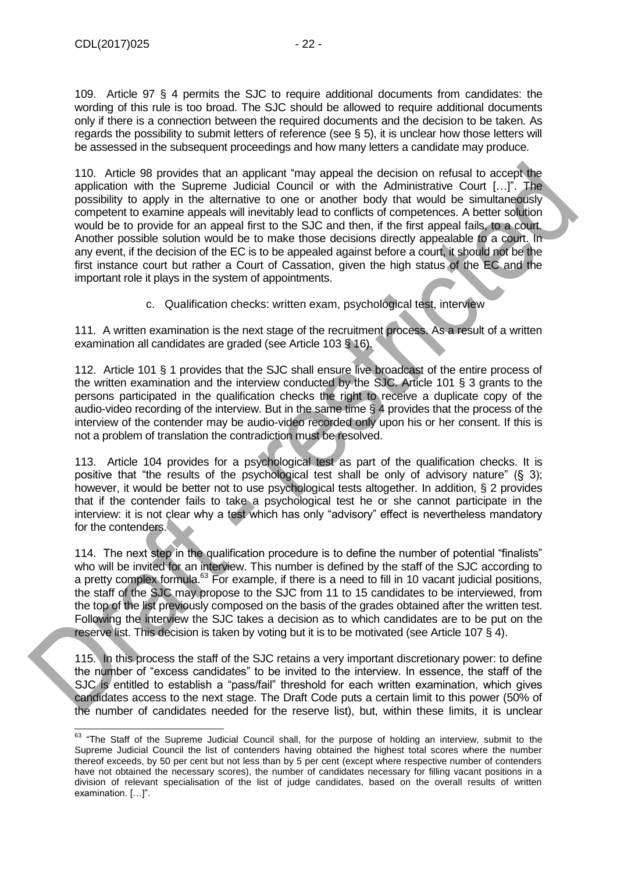109. Article 97 § 4 permits the SJC to require additional documents from candidates: the wording of this rule is too broad. The SJC should be allowed to require additional documents only if there is a connection between the required documents and the decision to be taken. As regards the possibility to submit letters of reference (see § 5), it is unclear how those letters will be assessed in the subsequent proceedings and how many letters a candidate may produce.

110. Article 98 provides that an applicant "may appeal the decision on refusal to accept the application with the Supreme Judicial Council or with the Administrative Court […]". The possibility to apply in the alternative to one or another body that would be simultaneously competent to examine appeals will inevitably lead to conflicts of competences. A better solution would be to provide for an appeal first to the SJC and then, if the first appeal fails, to a court. Another possible solution would be to make those decisions directly appealable to a court. In any event, if the decision of the EC is to be appealed against before a court, it should not be the first instance court but rather a Court of Cassation, given the high status of the EC and the important role it plays in the system of appointments.

c. Qualification checks: written exam, psychological test, interview

111. A written examination is the next stage of the recruitment process. As a result of a written examination all candidates are graded (see Article 103 § 16).

112. Article 101 § 1 provides that the SJC shall ensure live broadcast of the entire process of the written examination and the interview conducted by the SJC. Article 101 § 3 grants to the persons participated in the qualification checks the right to receive a duplicate copy of the audio-video recording of the interview. But in the same time § 4 provides that the process of the interview of the contender may be audio-video recorded only upon his or her consent. If this is not a problem of translation the contradiction must be resolved.

113. Article 104 provides for a psychological test as part of the qualification checks. It is positive that "the results of the psychological test shall be only of advisory nature" (§ 3); however, it would be better not to use psychological tests altogether. In addition, § 2 provides that if the contender fails to take a psychological test he or she cannot participate in the interview: it is not clear why a test which has only "advisory" effect is nevertheless mandatory for the contenders.

114. The next step in the qualification procedure is to define the number of potential "finalists" who will be invited for an interview. This number is defined by the staff of the SJC according to a pretty complex formula.<sup>63</sup> For example, if there is a need to fill in 10 vacant judicial positions, the staff of the SJC may propose to the SJC from 11 to 15 candidates to be interviewed, from the top of the list previously composed on the basis of the grades obtained after the written test. Following the interview the SJC takes a decision as to which candidates are to be put on the reserve list. This decision is taken by voting but it is to be motivated (see Article 107 § 4).

115. In this process the staff of the SJC retains a very important discretionary power: to define the number of "excess candidates" to be invited to the interview. In essence, the staff of the SJC is entitled to establish a "pass/fail" threshold for each written examination, which gives candidates access to the next stage. The Draft Code puts a certain limit to this power (50% of the number of candidates needed for the reserve list), but, within these limits, it is unclear

<sup>-</sup> $63$  "The Staff of the Supreme Judicial Council shall, for the purpose of holding an interview, submit to the Supreme Judicial Council the list of contenders having obtained the highest total scores where the number thereof exceeds, by 50 per cent but not less than by 5 per cent (except where respective number of contenders have not obtained the necessary scores), the number of candidates necessary for filling vacant positions in a division of relevant specialisation of the list of judge candidates, based on the overall results of written examination. […]".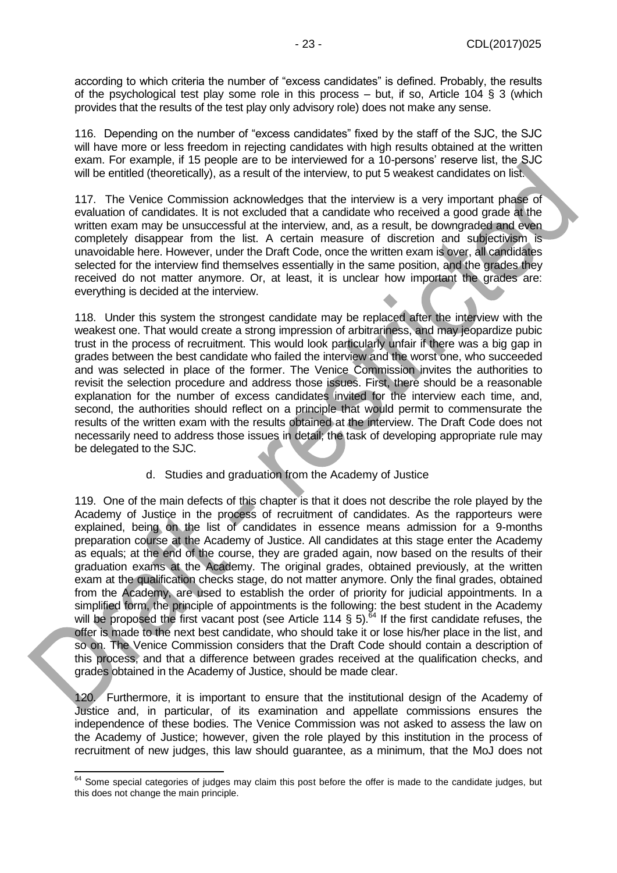according to which criteria the number of "excess candidates" is defined. Probably, the results of the psychological test play some role in this process – but, if so, Article 104 § 3 (which provides that the results of the test play only advisory role) does not make any sense.

116. Depending on the number of "excess candidates" fixed by the staff of the SJC, the SJC will have more or less freedom in rejecting candidates with high results obtained at the written exam. For example, if 15 people are to be interviewed for a 10-persons' reserve list, the SJC will be entitled (theoretically), as a result of the interview, to put 5 weakest candidates on list.

117. The Venice Commission acknowledges that the interview is a very important phase of evaluation of candidates. It is not excluded that a candidate who received a good grade at the written exam may be unsuccessful at the interview, and, as a result, be downgraded and even completely disappear from the list. A certain measure of discretion and subjectivism is unavoidable here. However, under the Draft Code, once the written exam is over, all candidates selected for the interview find themselves essentially in the same position, and the grades they received do not matter anymore. Or, at least, it is unclear how important the grades are: everything is decided at the interview.

118. Under this system the strongest candidate may be replaced after the interview with the weakest one. That would create a strong impression of arbitrariness, and may jeopardize pubic trust in the process of recruitment. This would look particularly unfair if there was a big gap in grades between the best candidate who failed the interview and the worst one, who succeeded and was selected in place of the former. The Venice Commission invites the authorities to revisit the selection procedure and address those issues. First, there should be a reasonable explanation for the number of excess candidates invited for the interview each time, and, second, the authorities should reflect on a principle that would permit to commensurate the results of the written exam with the results obtained at the interview. The Draft Code does not necessarily need to address those issues in detail; the task of developing appropriate rule may be delegated to the SJC.

d. Studies and graduation from the Academy of Justice

119. One of the main defects of this chapter is that it does not describe the role played by the Academy of Justice in the process of recruitment of candidates. As the rapporteurs were explained, being on the list of candidates in essence means admission for a 9-months preparation course at the Academy of Justice. All candidates at this stage enter the Academy as equals; at the end of the course, they are graded again, now based on the results of their graduation exams at the Academy. The original grades, obtained previously, at the written exam at the qualification checks stage, do not matter anymore. Only the final grades, obtained from the Academy, are used to establish the order of priority for judicial appointments. In a simplified form, the principle of appointments is the following: the best student in the Academy will be proposed the first vacant post (see Article 114  $\frac{1}{2}$  5).<sup>64</sup> If the first candidate refuses, the offer is made to the next best candidate, who should take it or lose his/her place in the list, and so on. The Venice Commission considers that the Draft Code should contain a description of this process, and that a difference between grades received at the qualification checks, and grades obtained in the Academy of Justice, should be made clear.

120. Furthermore, it is important to ensure that the institutional design of the Academy of Justice and, in particular, of its examination and appellate commissions ensures the independence of these bodies. The Venice Commission was not asked to assess the law on the Academy of Justice; however, given the role played by this institution in the process of recruitment of new judges, this law should guarantee, as a minimum, that the MoJ does not

 $\overline{a}$ 

 $64$  Some special categories of judges may claim this post before the offer is made to the candidate judges, but this does not change the main principle.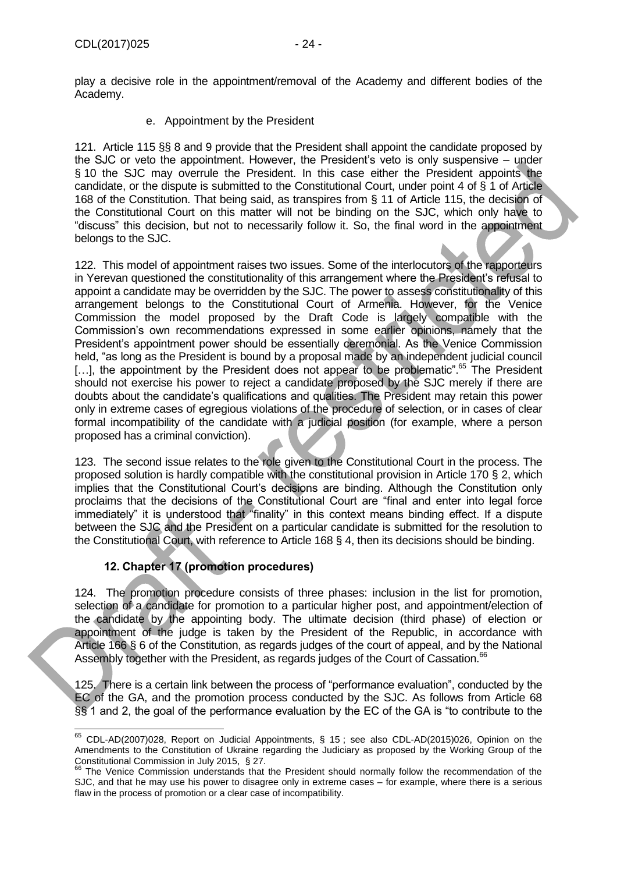play a decisive role in the appointment/removal of the Academy and different bodies of the Academy.

e. Appointment by the President

121. Article 115 §§ 8 and 9 provide that the President shall appoint the candidate proposed by the SJC or veto the appointment. However, the President's veto is only suspensive – under § 10 the SJC may overrule the President. In this case either the President appoints the candidate, or the dispute is submitted to the Constitutional Court, under point 4 of § 1 of Article 168 of the Constitution. That being said, as transpires from § 11 of Article 115, the decision of the Constitutional Court on this matter will not be binding on the SJC, which only have to "discuss" this decision, but not to necessarily follow it. So, the final word in the appointment belongs to the SJC.

122. This model of appointment raises two issues. Some of the interlocutors of the rapporteurs in Yerevan questioned the constitutionality of this arrangement where the President's refusal to appoint a candidate may be overridden by the SJC. The power to assess constitutionality of this arrangement belongs to the Constitutional Court of Armenia. However, for the Venice Commission the model proposed by the Draft Code is largely compatible with the Commission's own recommendations expressed in some earlier opinions, namely that the President's appointment power should be essentially ceremonial. As the Venice Commission held, "as long as the President is bound by a proposal made by an independent judicial council [...], the appointment by the President does not appear to be problematic<sup>", 65</sup> The President should not exercise his power to reject a candidate proposed by the SJC merely if there are doubts about the candidate's qualifications and qualities. The President may retain this power only in extreme cases of egregious violations of the procedure of selection, or in cases of clear formal incompatibility of the candidate with a judicial position (for example, where a person proposed has a criminal conviction).

123. The second issue relates to the role given to the Constitutional Court in the process. The proposed solution is hardly compatible with the constitutional provision in Article 170 § 2, which implies that the Constitutional Court's decisions are binding. Although the Constitution only proclaims that the decisions of the Constitutional Court are "final and enter into legal force immediately" it is understood that "finality" in this context means binding effect. If a dispute between the SJC and the President on a particular candidate is submitted for the resolution to the Constitutional Court, with reference to Article 168 § 4, then its decisions should be binding.

#### **12. Chapter 17 (promotion procedures)**

<span id="page-23-0"></span>124. The promotion procedure consists of three phases: inclusion in the list for promotion, selection of a candidate for promotion to a particular higher post, and appointment/election of the candidate by the appointing body. The ultimate decision (third phase) of election or appointment of the judge is taken by the President of the Republic, in accordance with Article 166 § 6 of the Constitution, as regards judges of the court of appeal, and by the National Assembly together with the President, as regards judges of the Court of Cassation.<sup>66</sup>

125. There is a certain link between the process of "performance evaluation", conducted by the EC of the GA, and the promotion process conducted by the SJC. As follows from Article 68 §§ 1 and 2, the goal of the performance evaluation by the EC of the GA is "to contribute to the

<sup>-</sup> $65$  CDL-AD(2007)028, Report on Judicial Appointments, § 15; see also CDL-AD(2015)026, Opinion on the Amendments to the Constitution of Ukraine regarding the Judiciary as proposed by the Working Group of the Constitutional Commission in July 2015, § 27.

<sup>&</sup>lt;sup>66</sup> The Venice Commission understands that the President should normally follow the recommendation of the SJC, and that he may use his power to disagree only in extreme cases – for example, where there is a serious flaw in the process of promotion or a clear case of incompatibility.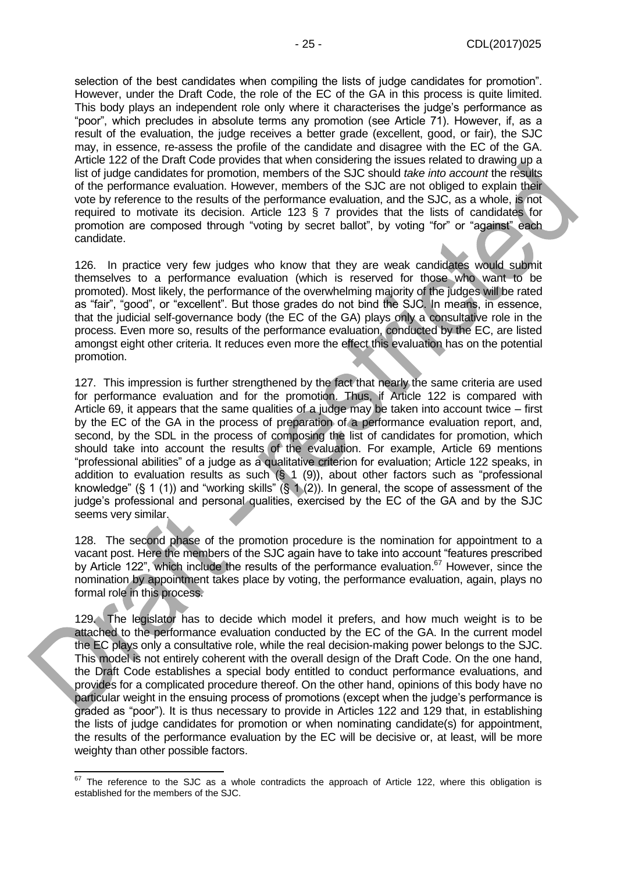selection of the best candidates when compiling the lists of judge candidates for promotion". However, under the Draft Code, the role of the EC of the GA in this process is quite limited. This body plays an independent role only where it characterises the judge's performance as "poor", which precludes in absolute terms any promotion (see Article 71). However, if, as a result of the evaluation, the judge receives a better grade (excellent, good, or fair), the SJC may, in essence, re-assess the profile of the candidate and disagree with the EC of the GA. Article 122 of the Draft Code provides that when considering the issues related to drawing up a list of judge candidates for promotion, members of the SJC should *take into account* the results of the performance evaluation. However, members of the SJC are not obliged to explain their vote by reference to the results of the performance evaluation, and the SJC, as a whole, is not required to motivate its decision. Article 123 § 7 provides that the lists of candidates for promotion are composed through "voting by secret ballot", by voting "for" or "against" each candidate.

126. In practice very few judges who know that they are weak candidates would submit themselves to a performance evaluation (which is reserved for those who want to be promoted). Most likely, the performance of the overwhelming majority of the judges will be rated as "fair", "good", or "excellent". But those grades do not bind the SJC. In means, in essence, that the judicial self-governance body (the EC of the GA) plays only a consultative role in the process. Even more so, results of the performance evaluation, conducted by the EC, are listed amongst eight other criteria. It reduces even more the effect this evaluation has on the potential promotion.

127. This impression is further strengthened by the fact that nearly the same criteria are used for performance evaluation and for the promotion. Thus, if Article 122 is compared with Article 69, it appears that the same qualities of a judge may be taken into account twice – first by the EC of the GA in the process of preparation of a performance evaluation report, and, second, by the SDL in the process of composing the list of candidates for promotion, which should take into account the results of the evaluation. For example, Article 69 mentions "professional abilities" of a judge as a qualitative criterion for evaluation; Article 122 speaks, in addition to evaluation results as such  $(\S 1 (9))$ , about other factors such as "professional knowledge" (§ 1 (1)) and "working skills" (§ 1 (2)). In general, the scope of assessment of the judge's professional and personal qualities, exercised by the EC of the GA and by the SJC seems very similar.

128. The second phase of the promotion procedure is the nomination for appointment to a vacant post. Here the members of the SJC again have to take into account "features prescribed by Article 122", which include the results of the performance evaluation.<sup>67</sup> However, since the nomination by appointment takes place by voting, the performance evaluation, again, plays no formal role in this process.

129. The legislator has to decide which model it prefers, and how much weight is to be attached to the performance evaluation conducted by the EC of the GA. In the current model the EC plays only a consultative role, while the real decision-making power belongs to the SJC. This model is not entirely coherent with the overall design of the Draft Code. On the one hand, the Draft Code establishes a special body entitled to conduct performance evaluations, and provides for a complicated procedure thereof. On the other hand, opinions of this body have no particular weight in the ensuing process of promotions (except when the judge's performance is graded as "poor"). It is thus necessary to provide in Articles 122 and 129 that, in establishing the lists of judge candidates for promotion or when nominating candidate(s) for appointment, the results of the performance evaluation by the EC will be decisive or, at least, will be more weighty than other possible factors.

 $\overline{a}$ 

 $67$  The reference to the SJC as a whole contradicts the approach of Article 122, where this obligation is established for the members of the SJC.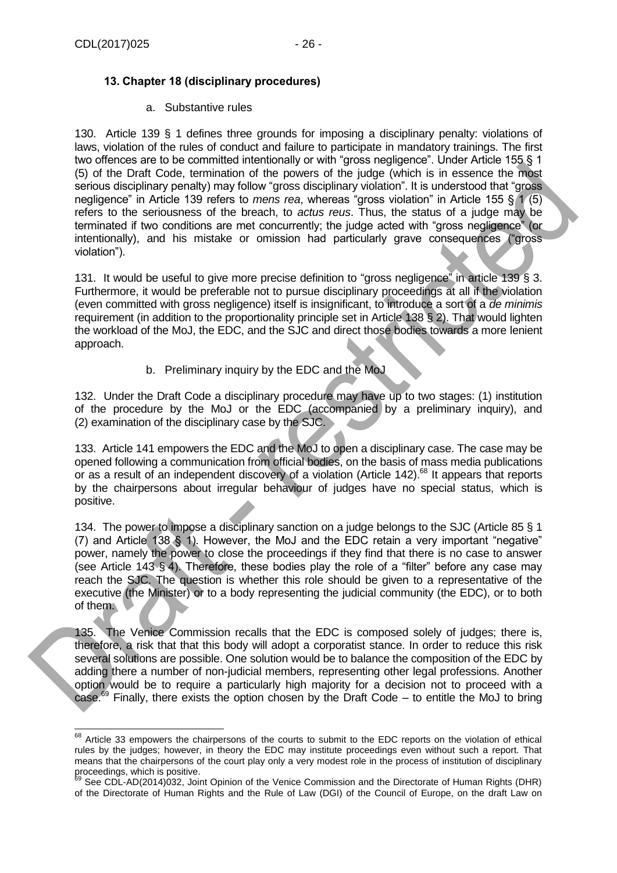## <span id="page-25-0"></span>**13. Chapter 18 (disciplinary procedures)**

#### a. Substantive rules

130. Article 139 § 1 defines three grounds for imposing a disciplinary penalty: violations of laws, violation of the rules of conduct and failure to participate in mandatory trainings. The first two offences are to be committed intentionally or with "gross negligence". Under Article 155 § 1 (5) of the Draft Code, termination of the powers of the judge (which is in essence the most serious disciplinary penalty) may follow "gross disciplinary violation". It is understood that "gross negligence" in Article 139 refers to *mens rea*, whereas "gross violation" in Article 155 § 1 (5) refers to the seriousness of the breach, to *actus reus*. Thus, the status of a judge may be terminated if two conditions are met concurrently; the judge acted with "gross negligence" (or intentionally), and his mistake or omission had particularly grave consequences ("gross violation").

131. It would be useful to give more precise definition to "gross negligence" in article 139 § 3. Furthermore, it would be preferable not to pursue disciplinary proceedings at all if the violation (even committed with gross negligence) itself is insignificant, to introduce a sort of a *de minimis* requirement (in addition to the proportionality principle set in Article 138 § 2). That would lighten the workload of the MoJ, the EDC, and the SJC and direct those bodies towards a more lenient approach.

b. Preliminary inquiry by the EDC and the MoJ

132. Under the Draft Code a disciplinary procedure may have up to two stages: (1) institution of the procedure by the MoJ or the EDC (accompanied by a preliminary inquiry), and (2) examination of the disciplinary case by the SJC.

133. Article 141 empowers the EDC and the MoJ to open a disciplinary case. The case may be opened following a communication from official bodies, on the basis of mass media publications or as a result of an independent discovery of a violation (Article 142).<sup>68</sup> It appears that reports by the chairpersons about irregular behaviour of judges have no special status, which is positive.

134. The power to impose a disciplinary sanction on a judge belongs to the SJC (Article 85 § 1 (7) and Article 138 § 1). However, the MoJ and the EDC retain a very important "negative" power, namely the power to close the proceedings if they find that there is no case to answer (see Article 143 § 4). Therefore, these bodies play the role of a "filter" before any case may reach the SJC. The question is whether this role should be given to a representative of the executive (the Minister) or to a body representing the judicial community (the EDC), or to both of them.

135. The Venice Commission recalls that the EDC is composed solely of judges; there is, therefore, a risk that that this body will adopt a corporatist stance. In order to reduce this risk several solutions are possible. One solution would be to balance the composition of the EDC by adding there a number of non-judicial members, representing other legal professions. Another option would be to require a particularly high majority for a decision not to proceed with a case.<sup>69</sup> Finally, there exists the option chosen by the Draft Code – to entitle the MoJ to bring

<sup>-</sup> $68$  Article 33 empowers the chairpersons of the courts to submit to the EDC reports on the violation of ethical rules by the judges; however, in theory the EDC may institute proceedings even without such a report. That means that the chairpersons of the court play only a very modest role in the process of institution of disciplinary proceedings, which is positive.

<sup>&</sup>lt;sup>69</sup> See CDL-AD(2014)032, Joint Opinion of the Venice Commission and the Directorate of Human Rights (DHR) of the Directorate of Human Rights and the Rule of Law (DGI) of the Council of Europe, on the draft Law on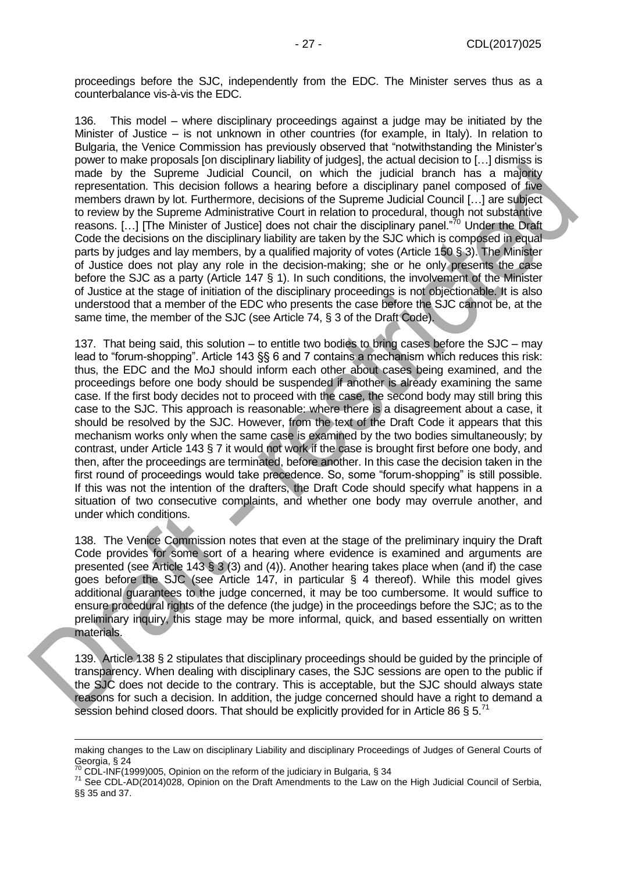proceedings before the SJC, independently from the EDC. The Minister serves thus as a counterbalance vis-à-vis the EDC.

136. This model – where disciplinary proceedings against a judge may be initiated by the Minister of Justice – is not unknown in other countries (for example, in Italy). In relation to Bulgaria, the Venice Commission has previously observed that "notwithstanding the Minister's power to make proposals [on disciplinary liability of judges], the actual decision to […] dismiss is made by the Supreme Judicial Council, on which the judicial branch has a majority representation. This decision follows a hearing before a disciplinary panel composed of five members drawn by lot. Furthermore, decisions of the Supreme Judicial Council […] are subject to review by the Supreme Administrative Court in relation to procedural, though not substantive reasons. [...] [The Minister of Justice] does not chair the disciplinary panel."<sup>70</sup> Under the Draft Code the decisions on the disciplinary liability are taken by the SJC which is composed in equal parts by judges and lay members, by a qualified majority of votes (Article 150 § 3). The Minister of Justice does not play any role in the decision-making; she or he only presents the case before the SJC as a party (Article 147 § 1). In such conditions, the involvement of the Minister of Justice at the stage of initiation of the disciplinary proceedings is not objectionable. It is also understood that a member of the EDC who presents the case before the SJC cannot be, at the same time, the member of the SJC (see Article 74, § 3 of the Draft Code).

137. That being said, this solution – to entitle two bodies to bring cases before the SJC – may lead to "forum-shopping". Article 143 §§ 6 and 7 contains a mechanism which reduces this risk: thus, the EDC and the MoJ should inform each other about cases being examined, and the proceedings before one body should be suspended if another is already examining the same case. If the first body decides not to proceed with the case, the second body may still bring this case to the SJC. This approach is reasonable: where there is a disagreement about a case, it should be resolved by the SJC. However, from the text of the Draft Code it appears that this mechanism works only when the same case is examined by the two bodies simultaneously; by contrast, under Article 143 § 7 it would not work if the case is brought first before one body, and then, after the proceedings are terminated, before another. In this case the decision taken in the first round of proceedings would take precedence. So, some "forum-shopping" is still possible. If this was not the intention of the drafters, the Draft Code should specify what happens in a situation of two consecutive complaints, and whether one body may overrule another, and under which conditions.

138. The Venice Commission notes that even at the stage of the preliminary inquiry the Draft Code provides for some sort of a hearing where evidence is examined and arguments are presented (see Article 143 § 3 (3) and (4)). Another hearing takes place when (and if) the case goes before the SJC (see Article 147, in particular § 4 thereof). While this model gives additional guarantees to the judge concerned, it may be too cumbersome. It would suffice to ensure procedural rights of the defence (the judge) in the proceedings before the SJC; as to the preliminary inquiry, this stage may be more informal, quick, and based essentially on written materials.

139. Article 138 § 2 stipulates that disciplinary proceedings should be guided by the principle of transparency. When dealing with disciplinary cases, the SJC sessions are open to the public if the SJC does not decide to the contrary. This is acceptable, but the SJC should always state reasons for such a decision. In addition, the judge concerned should have a right to demand a session behind closed doors. That should be explicitly provided for in Article 86  $\S 5$ .<sup>71</sup>

making changes to the Law on disciplinary Liability and disciplinary Proceedings of Judges of General Courts of Georgia, § 24

 $^{70}$  CDL-INF(1999)005, Opinion on the reform of the judiciary in Bulgaria, § 34

<sup>&</sup>lt;sup>71</sup> See CDL-AD(2014)028, Opinion on the Draft Amendments to the Law on the High Judicial Council of Serbia, §§ 35 and 37.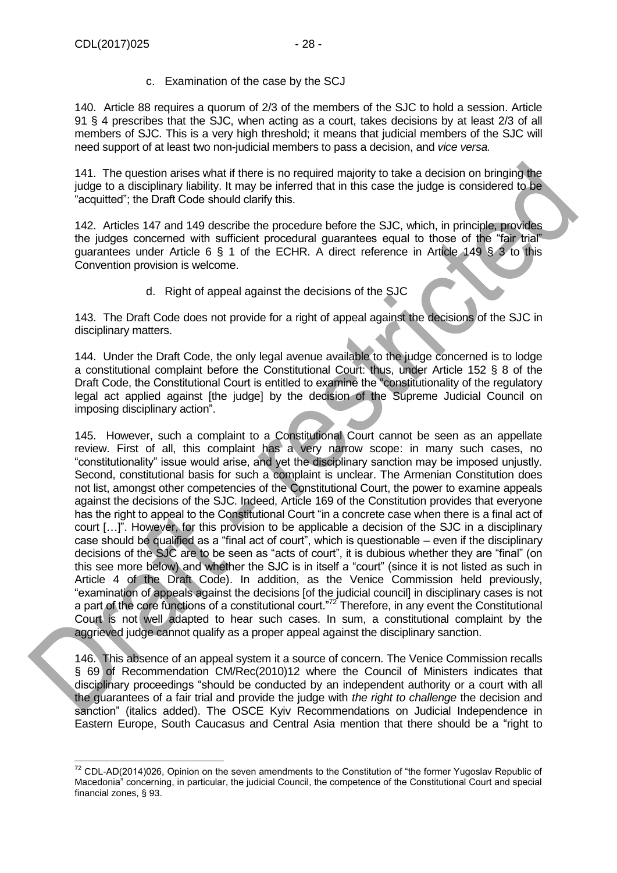c. Examination of the case by the SCJ

140. Article 88 requires a quorum of 2/3 of the members of the SJC to hold a session. Article 91 § 4 prescribes that the SJC, when acting as a court, takes decisions by at least 2/3 of all members of SJC. This is a very high threshold; it means that judicial members of the SJC will need support of at least two non-judicial members to pass a decision, and *vice versa.*

141. The question arises what if there is no required majority to take a decision on bringing the judge to a disciplinary liability. It may be inferred that in this case the judge is considered to be "acquitted"; the Draft Code should clarify this.

142. Articles 147 and 149 describe the procedure before the SJC, which, in principle, provides the judges concerned with sufficient procedural guarantees equal to those of the "fair trial" guarantees under Article 6 § 1 of the ECHR. A direct reference in Article 149 § 3 to this Convention provision is welcome.

d. Right of appeal against the decisions of the SJC

143. The Draft Code does not provide for a right of appeal against the decisions of the SJC in disciplinary matters.

144. Under the Draft Code, the only legal avenue available to the judge concerned is to lodge a constitutional complaint before the Constitutional Court: thus, under Article 152 § 8 of the Draft Code, the Constitutional Court is entitled to examine the "constitutionality of the regulatory legal act applied against [the judge] by the decision of the Supreme Judicial Council on imposing disciplinary action".

145. However, such a complaint to a Constitutional Court cannot be seen as an appellate review. First of all, this complaint has a very narrow scope: in many such cases, no "constitutionality" issue would arise, and yet the disciplinary sanction may be imposed unjustly. Second, constitutional basis for such a complaint is unclear. The Armenian Constitution does not list, amongst other competencies of the Constitutional Court, the power to examine appeals against the decisions of the SJC. Indeed, Article 169 of the Constitution provides that everyone has the right to appeal to the Constitutional Court "in a concrete case when there is a final act of court […]". However, for this provision to be applicable a decision of the SJC in a disciplinary case should be qualified as a "final act of court", which is questionable – even if the disciplinary decisions of the SJC are to be seen as "acts of court", it is dubious whether they are "final" (on this see more below) and whether the SJC is in itself a "court" (since it is not listed as such in Article 4 of the Draft Code). In addition, as the Venice Commission held previously, "examination of appeals against the decisions [of the judicial council] in disciplinary cases is not a part of the core functions of a constitutional court."<sup>72</sup> Therefore, in any event the Constitutional Court is not well adapted to hear such cases. In sum, a constitutional complaint by the aggrieved judge cannot qualify as a proper appeal against the disciplinary sanction.

146. This absence of an appeal system it a source of concern. The Venice Commission recalls § 69 of Recommendation CM/Rec(2010)12 where the Council of Ministers indicates that disciplinary proceedings "should be conducted by an independent authority or a court with all the guarantees of a fair trial and provide the judge with *the right to challenge* the decision and sanction" (italics added). The OSCE Kyiv Recommendations on Judicial Independence in Eastern Europe, South Caucasus and Central Asia mention that there should be a "right to

<sup>-</sup> $72$  CDL-AD(2014)026, Opinion on the seven amendments to the Constitution of "the former Yugoslav Republic of Macedonia" concerning, in particular, the judicial Council, the competence of the Constitutional Court and special financial zones, § 93.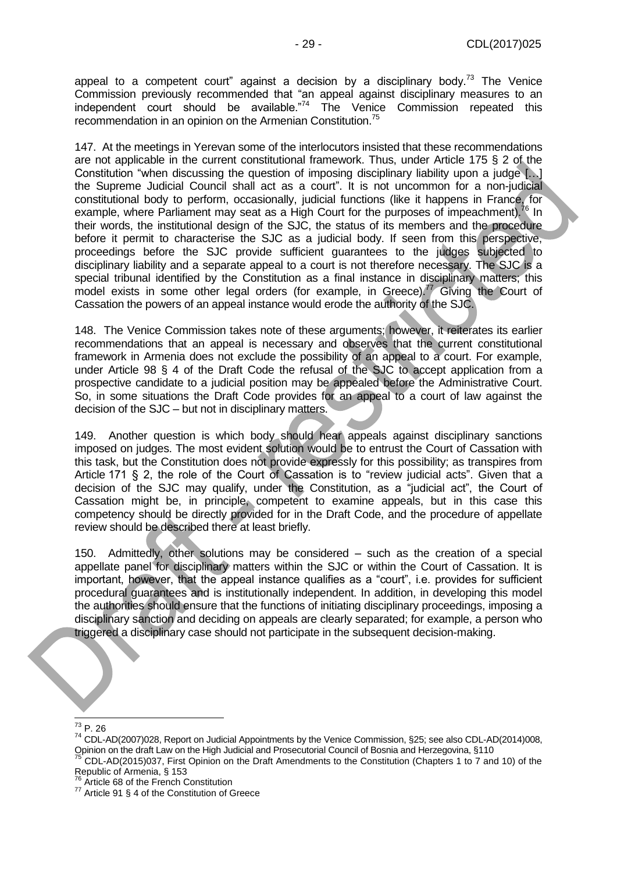appeal to a competent court" against a decision by a disciplinary body.<sup>73</sup> The Venice Commission previously recommended that "an appeal against disciplinary measures to an independent court should be available."<sup>74</sup> The Venice Commission repeated this recommendation in an opinion on the Armenian Constitution.<sup>75</sup>

147. At the meetings in Yerevan some of the interlocutors insisted that these recommendations are not applicable in the current constitutional framework. Thus, under Article 175 § 2 of the Constitution "when discussing the question of imposing disciplinary liability upon a judge […] the Supreme Judicial Council shall act as a court". It is not uncommon for a non-judicial constitutional body to perform, occasionally, judicial functions (like it happens in France, for example, where Parliament may seat as a High Court for the purposes of impeachment).<sup>76</sup> In their words, the institutional design of the SJC, the status of its members and the procedure before it permit to characterise the SJC as a judicial body. If seen from this perspective, proceedings before the SJC provide sufficient guarantees to the judges subjected to disciplinary liability and a separate appeal to a court is not therefore necessary. The SJC is a special tribunal identified by the Constitution as a final instance in disciplinary matters; this model exists in some other legal orders (for example, in Greece).<sup>77</sup> Giving the Court of Cassation the powers of an appeal instance would erode the authority of the SJC.

148. The Venice Commission takes note of these arguments; however, it reiterates its earlier recommendations that an appeal is necessary and observes that the current constitutional framework in Armenia does not exclude the possibility of an appeal to a court. For example, under Article 98 § 4 of the Draft Code the refusal of the SJC to accept application from a prospective candidate to a judicial position may be appealed before the Administrative Court. So, in some situations the Draft Code provides for an appeal to a court of law against the decision of the SJC – but not in disciplinary matters.

149. Another question is which body should hear appeals against disciplinary sanctions imposed on judges. The most evident solution would be to entrust the Court of Cassation with this task, but the Constitution does not provide expressly for this possibility; as transpires from Article 171 § 2, the role of the Court of Cassation is to "review judicial acts". Given that a decision of the SJC may qualify, under the Constitution, as a "judicial act", the Court of Cassation might be, in principle, competent to examine appeals, but in this case this competency should be directly provided for in the Draft Code, and the procedure of appellate review should be described there at least briefly.

150. Admittedly, other solutions may be considered – such as the creation of a special appellate panel for disciplinary matters within the SJC or within the Court of Cassation. It is important, however, that the appeal instance qualifies as a "court", i.e. provides for sufficient procedural guarantees and is institutionally independent. In addition, in developing this model the authorities should ensure that the functions of initiating disciplinary proceedings, imposing a disciplinary sanction and deciding on appeals are clearly separated; for example, a person who triggered a disciplinary case should not participate in the subsequent decision-making.

 $\overline{\phantom{a}}$  $^{73}$  P. 26

<sup>74</sup> CDL-AD(2007)028, Report on Judicial Appointments by the Venice Commission, §25; see also CDL-AD(2014)008, Opinion on the draft Law on the High Judicial and Prosecutorial Council of Bosnia and Herzegovina, §110

<sup>&</sup>lt;sup>75</sup> CDL-AD(2015)037, First Opinion on the Draft Amendments to the Constitution (Chapters 1 to 7 and 10) of the Republic of Armenia, § 153

<sup>76</sup> Article 68 of the French Constitution

<sup>77</sup> Article 91 § 4 of the Constitution of Greece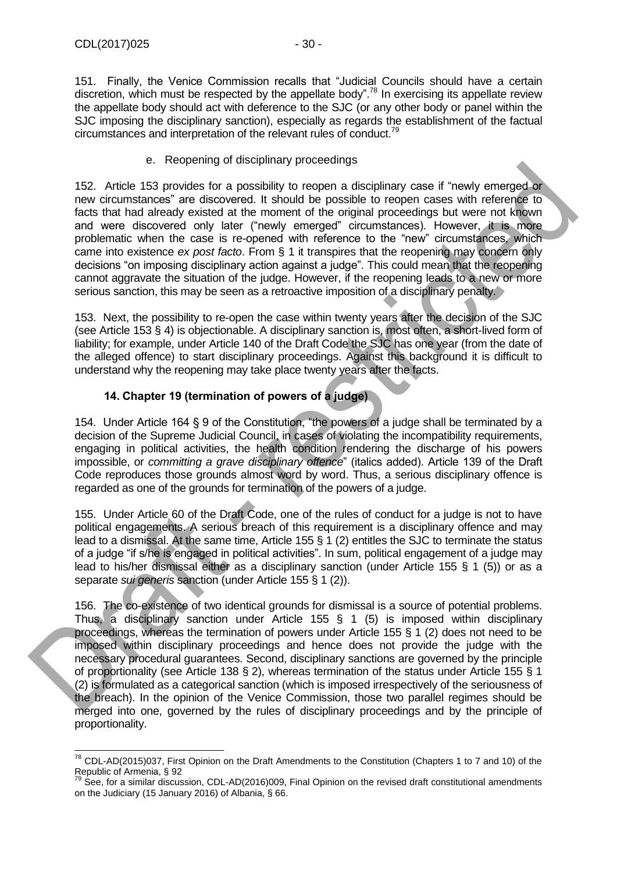-

151. Finally, the Venice Commission recalls that "Judicial Councils should have a certain discretion, which must be respected by the appellate body".<sup>78</sup> In exercising its appellate review the appellate body should act with deference to the SJC (or any other body or panel within the SJC imposing the disciplinary sanction), especially as regards the establishment of the factual circumstances and interpretation of the relevant rules of conduct.<sup>79</sup>

#### e. Reopening of disciplinary proceedings

152. Article 153 provides for a possibility to reopen a disciplinary case if "newly emerged or new circumstances" are discovered. It should be possible to reopen cases with reference to facts that had already existed at the moment of the original proceedings but were not known and were discovered only later ("newly emerged" circumstances). However, it is more problematic when the case is re-opened with reference to the "new" circumstances, which came into existence *ex post facto*. From § 1 it transpires that the reopening may concern only decisions "on imposing disciplinary action against a judge". This could mean that the reopening cannot aggravate the situation of the judge. However, if the reopening leads to a new or more serious sanction, this may be seen as a retroactive imposition of a disciplinary penalty.

153. Next, the possibility to re-open the case within twenty years after the decision of the SJC (see Article 153 § 4) is objectionable. A disciplinary sanction is, most often, a short-lived form of liability; for example, under Article 140 of the Draft Code the SJC has one year (from the date of the alleged offence) to start disciplinary proceedings. Against this background it is difficult to understand why the reopening may take place twenty years after the facts.

### **14. Chapter 19 (termination of powers of a judge)**

<span id="page-29-0"></span>154. Under Article 164 § 9 of the Constitution, "the powers of a judge shall be terminated by a decision of the Supreme Judicial Council, in cases of violating the incompatibility requirements, engaging in political activities, the health condition rendering the discharge of his powers impossible, or *committing a grave disciplinary offence*" (italics added). Article 139 of the Draft Code reproduces those grounds almost word by word. Thus, a serious disciplinary offence is regarded as one of the grounds for termination of the powers of a judge.

155. Under Article 60 of the Draft Code, one of the rules of conduct for a judge is not to have political engagements. A serious breach of this requirement is a disciplinary offence and may lead to a dismissal. At the same time, Article 155 § 1 (2) entitles the SJC to terminate the status of a judge "if s/he is engaged in political activities". In sum, political engagement of a judge may lead to his/her dismissal either as a disciplinary sanction (under Article 155 § 1 (5)) or as a separate *sui generis* sanction (under Article 155 § 1 (2)).

156. The co-existence of two identical grounds for dismissal is a source of potential problems. Thus, a disciplinary sanction under Article 155  $\S$  1 (5) is imposed within disciplinary proceedings, whereas the termination of powers under Article 155 § 1 (2) does not need to be imposed within disciplinary proceedings and hence does not provide the judge with the necessary procedural guarantees. Second, disciplinary sanctions are governed by the principle of proportionality (see Article 138 § 2), whereas termination of the status under Article 155 § 1 (2) is formulated as a categorical sanction (which is imposed irrespectively of the seriousness of the breach). In the opinion of the Venice Commission, those two parallel regimes should be merged into one, governed by the rules of disciplinary proceedings and by the principle of proportionality.

 $^{78}$  CDL-AD(2015)037, First Opinion on the Draft Amendments to the Constitution (Chapters 1 to 7 and 10) of the Republic of Armenia, § 92

 $79$  See, for a similar discussion, CDL-AD(2016)009, Final Opinion on the revised draft constitutional amendments on the Judiciary (15 January 2016) of Albania, § 66.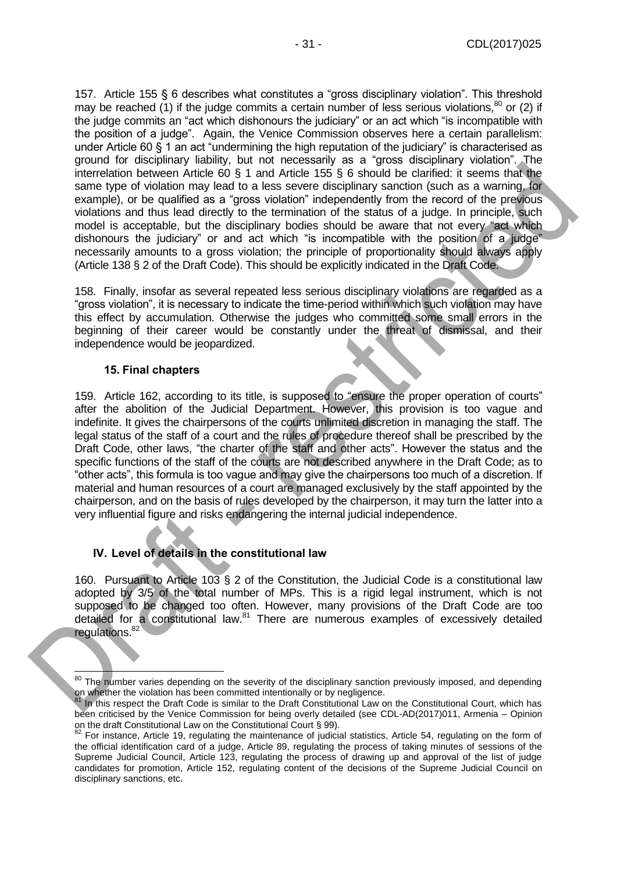157. Article 155 § 6 describes what constitutes a "gross disciplinary violation". This threshold may be reached (1) if the judge commits a certain number of less serious violations,  $80$  or (2) if the judge commits an "act which dishonours the judiciary" or an act which "is incompatible with the position of a judge". Again, the Venice Commission observes here a certain parallelism: under Article 60 § 1 an act "undermining the high reputation of the judiciary" is characterised as ground for disciplinary liability, but not necessarily as a "gross disciplinary violation". The interrelation between Article 60 § 1 and Article 155 § 6 should be clarified: it seems that the same type of violation may lead to a less severe disciplinary sanction (such as a warning, for example), or be qualified as a "gross violation" independently from the record of the previous violations and thus lead directly to the termination of the status of a judge. In principle, such model is acceptable, but the disciplinary bodies should be aware that not every "act which dishonours the judiciary" or and act which "is incompatible with the position of a judge" necessarily amounts to a gross violation; the principle of proportionality should always apply (Article 138 § 2 of the Draft Code). This should be explicitly indicated in the Draft Code.

158. Finally, insofar as several repeated less serious disciplinary violations are regarded as a "gross violation", it is necessary to indicate the time-period within which such violation may have this effect by accumulation. Otherwise the judges who committed some small errors in the beginning of their career would be constantly under the threat of dismissal, and their independence would be jeopardized.

#### **15. Final chapters**

-

<span id="page-30-0"></span>159. Article 162, according to its title, is supposed to "ensure the proper operation of courts" after the abolition of the Judicial Department. However, this provision is too vague and indefinite. It gives the chairpersons of the courts unlimited discretion in managing the staff. The legal status of the staff of a court and the rules of procedure thereof shall be prescribed by the Draft Code, other laws, "the charter of the staff and other acts". However the status and the specific functions of the staff of the courts are not described anywhere in the Draft Code; as to "other acts", this formula is too vague and may give the chairpersons too much of a discretion. If material and human resources of a court are managed exclusively by the staff appointed by the chairperson, and on the basis of rules developed by the chairperson, it may turn the latter into a very influential figure and risks endangering the internal judicial independence.

#### <span id="page-30-1"></span>**IV. Level of details in the constitutional law**

160. Pursuant to Article 103 § 2 of the Constitution, the Judicial Code is a constitutional law adopted by 3/5 of the total number of MPs. This is a rigid legal instrument, which is not supposed to be changed too often. However, many provisions of the Draft Code are too detailed for a constitutional law.<sup>81</sup> There are numerous examples of excessively detailed regulations.<sup>82</sup>

<sup>&</sup>lt;sup>80</sup> The number varies depending on the severity of the disciplinary sanction previously imposed, and depending on whether the violation has been committed intentionally or by negligence.

<sup>&</sup>lt;sup>81</sup> In this respect the Draft Code is similar to the Draft Constitutional Law on the Constitutional Court, which has been criticised by the Venice Commission for being overly detailed (see CDL-AD(2017)011, Armenia – Opinion on the draft Constitutional Law on the Constitutional Court § 99).

 $82$  For instance, Article 19, regulating the maintenance of judicial statistics, Article 54, regulating on the form of the official identification card of a judge, Article 89, regulating the process of taking minutes of sessions of the Supreme Judicial Council, Article 123, regulating the process of drawing up and approval of the list of judge candidates for promotion, Article 152, regulating content of the decisions of the Supreme Judicial Council on disciplinary sanctions, etc.